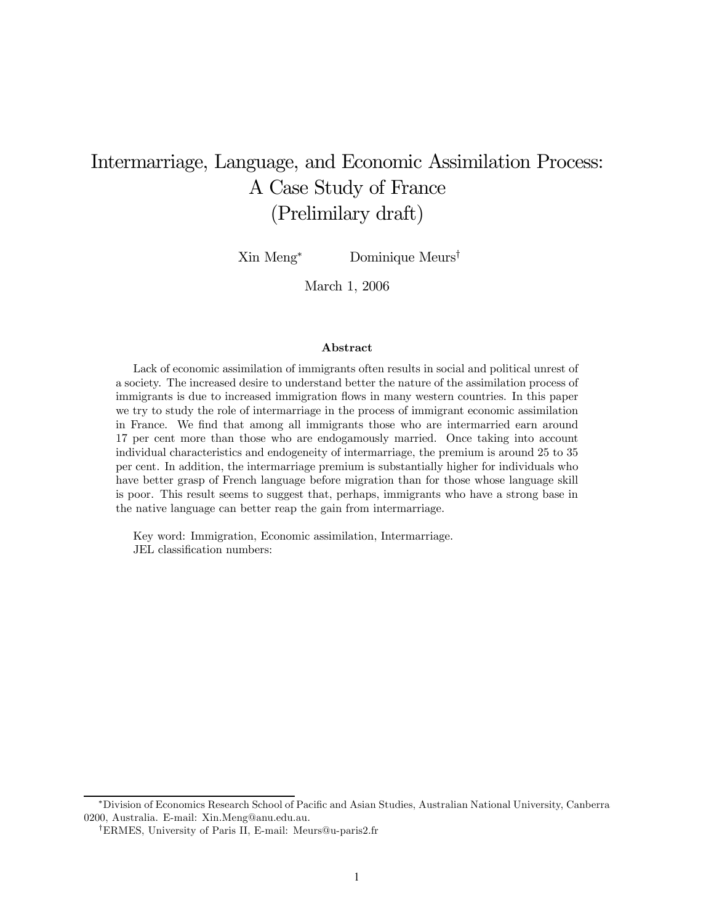# Intermarriage, Language, and Economic Assimilation Process: A Case Study of France (Prelimilary draft)

Xin Meng<sup>∗</sup> Dominique Meurs†

March 1, 2006

#### Abstract

Lack of economic assimilation of immigrants often results in social and political unrest of a society. The increased desire to understand better the nature of the assimilation process of immigrants is due to increased immigration flows in many western countries. In this paper we try to study the role of intermarriage in the process of immigrant economic assimilation in France. We find that among all immigrants those who are intermarried earn around 17 per cent more than those who are endogamously married. Once taking into account individual characteristics and endogeneity of intermarriage, the premium is around 25 to 35 per cent. In addition, the intermarriage premium is substantially higher for individuals who have better grasp of French language before migration than for those whose language skill is poor. This result seems to suggest that, perhaps, immigrants who have a strong base in the native language can better reap the gain from intermarriage.

Key word: Immigration, Economic assimilation, Intermarriage. JEL classification numbers:

<sup>∗</sup>Division of Economics Research School of Pacific and Asian Studies, Australian National University, Canberra 0200, Australia. E-mail: Xin.Meng@anu.edu.au.

<sup>†</sup>ERMES, University of Paris II, E-mail: Meurs@u-paris2.fr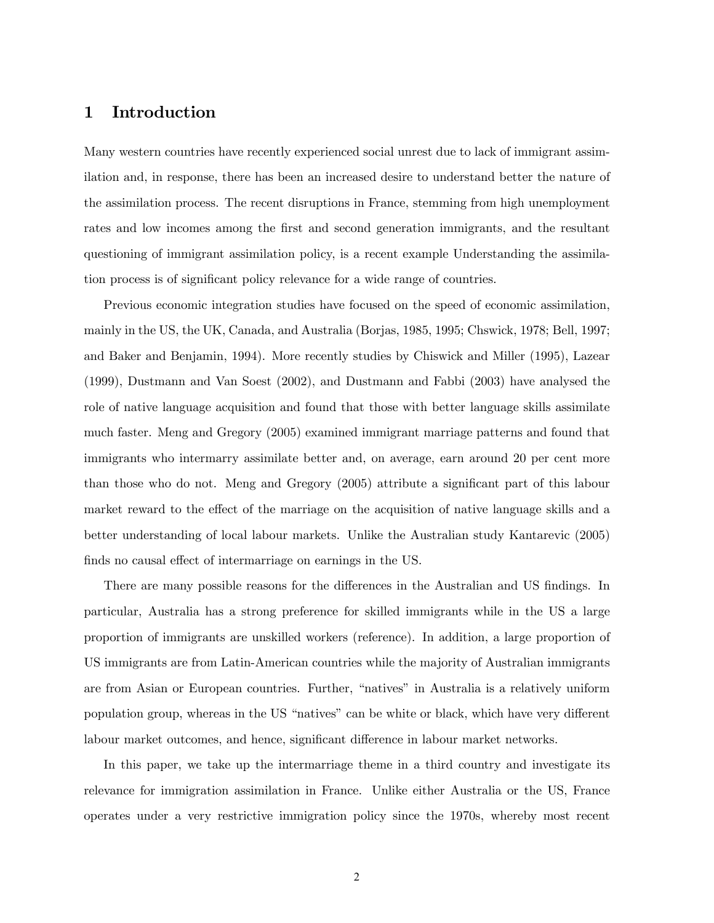# 1 Introduction

Many western countries have recently experienced social unrest due to lack of immigrant assimilation and, in response, there has been an increased desire to understand better the nature of the assimilation process. The recent disruptions in France, stemming from high unemployment rates and low incomes among the first and second generation immigrants, and the resultant questioning of immigrant assimilation policy, is a recent example Understanding the assimilation process is of significant policy relevance for a wide range of countries.

Previous economic integration studies have focused on the speed of economic assimilation, mainly in the US, the UK, Canada, and Australia (Borjas, 1985, 1995; Chswick, 1978; Bell, 1997; and Baker and Benjamin, 1994). More recently studies by Chiswick and Miller (1995), Lazear (1999), Dustmann and Van Soest (2002), and Dustmann and Fabbi (2003) have analysed the role of native language acquisition and found that those with better language skills assimilate much faster. Meng and Gregory (2005) examined immigrant marriage patterns and found that immigrants who intermarry assimilate better and, on average, earn around 20 per cent more than those who do not. Meng and Gregory (2005) attribute a significant part of this labour market reward to the effect of the marriage on the acquisition of native language skills and a better understanding of local labour markets. Unlike the Australian study Kantarevic (2005) finds no causal effect of intermarriage on earnings in the US.

There are many possible reasons for the differences in the Australian and US findings. In particular, Australia has a strong preference for skilled immigrants while in the US a large proportion of immigrants are unskilled workers (reference). In addition, a large proportion of US immigrants are from Latin-American countries while the majority of Australian immigrants are from Asian or European countries. Further, "natives" in Australia is a relatively uniform population group, whereas in the US "natives" can be white or black, which have very different labour market outcomes, and hence, significant difference in labour market networks.

In this paper, we take up the intermarriage theme in a third country and investigate its relevance for immigration assimilation in France. Unlike either Australia or the US, France operates under a very restrictive immigration policy since the 1970s, whereby most recent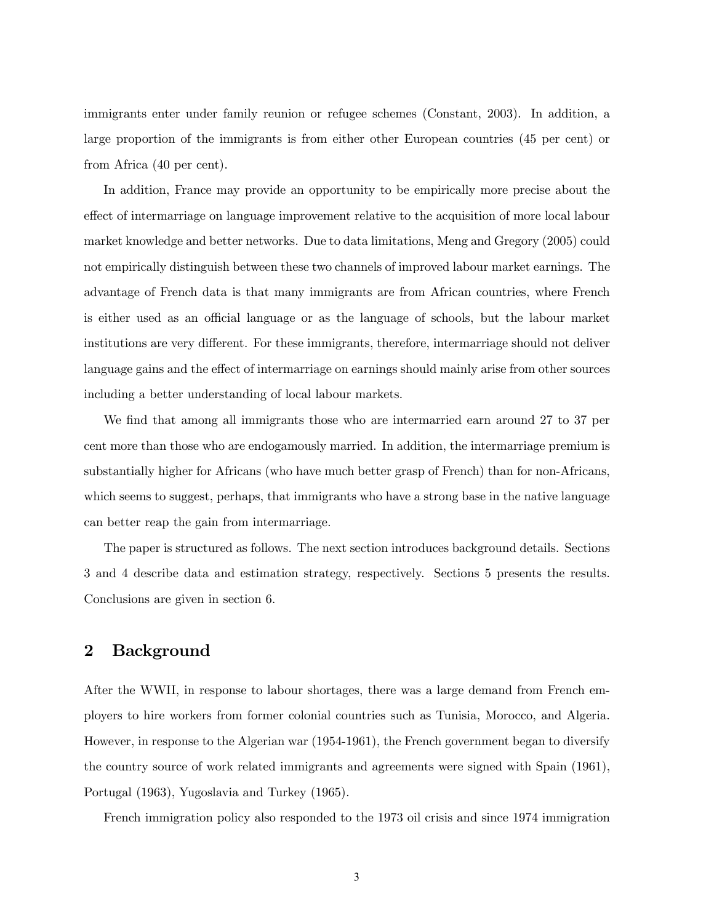immigrants enter under family reunion or refugee schemes (Constant, 2003). In addition, a large proportion of the immigrants is from either other European countries (45 per cent) or from Africa (40 per cent).

In addition, France may provide an opportunity to be empirically more precise about the effect of intermarriage on language improvement relative to the acquisition of more local labour market knowledge and better networks. Due to data limitations, Meng and Gregory (2005) could not empirically distinguish between these two channels of improved labour market earnings. The advantage of French data is that many immigrants are from African countries, where French is either used as an official language or as the language of schools, but the labour market institutions are very different. For these immigrants, therefore, intermarriage should not deliver language gains and the effect of intermarriage on earnings should mainly arise from other sources including a better understanding of local labour markets.

We find that among all immigrants those who are intermarried earn around 27 to 37 per cent more than those who are endogamously married. In addition, the intermarriage premium is substantially higher for Africans (who have much better grasp of French) than for non-Africans, which seems to suggest, perhaps, that immigrants who have a strong base in the native language can better reap the gain from intermarriage.

The paper is structured as follows. The next section introduces background details. Sections 3 and 4 describe data and estimation strategy, respectively. Sections 5 presents the results. Conclusions are given in section 6.

## 2 Background

After the WWII, in response to labour shortages, there was a large demand from French employers to hire workers from former colonial countries such as Tunisia, Morocco, and Algeria. However, in response to the Algerian war (1954-1961), the French government began to diversify the country source of work related immigrants and agreements were signed with Spain (1961), Portugal (1963), Yugoslavia and Turkey (1965).

French immigration policy also responded to the 1973 oil crisis and since 1974 immigration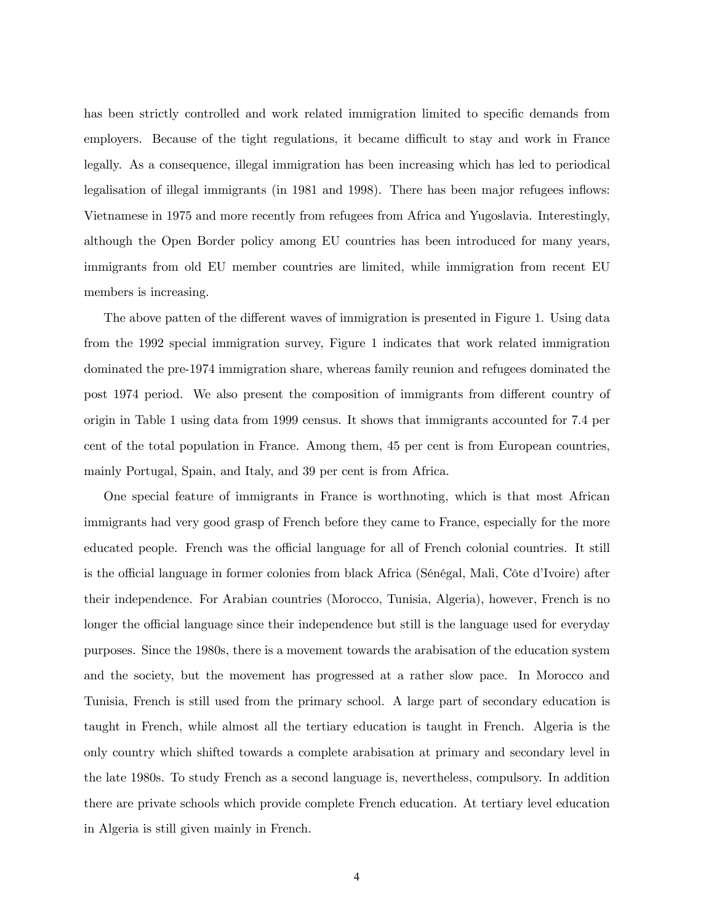has been strictly controlled and work related immigration limited to specific demands from employers. Because of the tight regulations, it became difficult to stay and work in France legally. As a consequence, illegal immigration has been increasing which has led to periodical legalisation of illegal immigrants (in 1981 and 1998). There has been major refugees inflows: Vietnamese in 1975 and more recently from refugees from Africa and Yugoslavia. Interestingly, although the Open Border policy among EU countries has been introduced for many years, immigrants from old EU member countries are limited, while immigration from recent EU members is increasing.

The above patten of the different waves of immigration is presented in Figure 1. Using data from the 1992 special immigration survey, Figure 1 indicates that work related immigration dominated the pre-1974 immigration share, whereas family reunion and refugees dominated the post 1974 period. We also present the composition of immigrants from different country of origin in Table 1 using data from 1999 census. It shows that immigrants accounted for 7.4 per cent of the total population in France. Among them, 45 per cent is from European countries, mainly Portugal, Spain, and Italy, and 39 per cent is from Africa.

One special feature of immigrants in France is worthnoting, which is that most African immigrants had very good grasp of French before they came to France, especially for the more educated people. French was the official language for all of French colonial countries. It still is the official language in former colonies from black Africa (Sénégal, Mali, Côte d'Ivoire) after their independence. For Arabian countries (Morocco, Tunisia, Algeria), however, French is no longer the official language since their independence but still is the language used for everyday purposes. Since the 1980s, there is a movement towards the arabisation of the education system and the society, but the movement has progressed at a rather slow pace. In Morocco and Tunisia, French is still used from the primary school. A large part of secondary education is taught in French, while almost all the tertiary education is taught in French. Algeria is the only country which shifted towards a complete arabisation at primary and secondary level in the late 1980s. To study French as a second language is, nevertheless, compulsory. In addition there are private schools which provide complete French education. At tertiary level education in Algeria is still given mainly in French.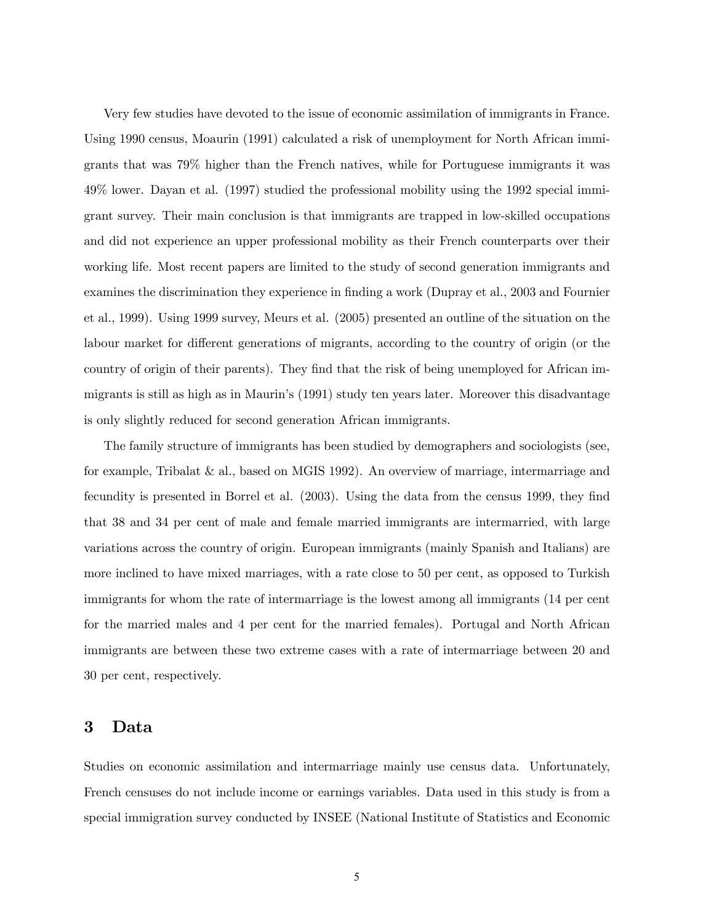Very few studies have devoted to the issue of economic assimilation of immigrants in France. Using 1990 census, Moaurin (1991) calculated a risk of unemployment for North African immigrants that was 79% higher than the French natives, while for Portuguese immigrants it was 49% lower. Dayan et al. (1997) studied the professional mobility using the 1992 special immigrant survey. Their main conclusion is that immigrants are trapped in low-skilled occupations and did not experience an upper professional mobility as their French counterparts over their working life. Most recent papers are limited to the study of second generation immigrants and examines the discrimination they experience in finding a work (Dupray et al., 2003 and Fournier et al., 1999). Using 1999 survey, Meurs et al. (2005) presented an outline of the situation on the labour market for different generations of migrants, according to the country of origin (or the country of origin of their parents). They find that the risk of being unemployed for African immigrants is still as high as in Maurin's (1991) study ten years later. Moreover this disadvantage is only slightly reduced for second generation African immigrants.

The family structure of immigrants has been studied by demographers and sociologists (see, for example, Tribalat & al., based on MGIS 1992). An overview of marriage, intermarriage and fecundity is presented in Borrel et al. (2003). Using the data from the census 1999, they find that 38 and 34 per cent of male and female married immigrants are intermarried, with large variations across the country of origin. European immigrants (mainly Spanish and Italians) are more inclined to have mixed marriages, with a rate close to 50 per cent, as opposed to Turkish immigrants for whom the rate of intermarriage is the lowest among all immigrants (14 per cent for the married males and 4 per cent for the married females). Portugal and North African immigrants are between these two extreme cases with a rate of intermarriage between 20 and 30 per cent, respectively.

### 3 Data

Studies on economic assimilation and intermarriage mainly use census data. Unfortunately, French censuses do not include income or earnings variables. Data used in this study is from a special immigration survey conducted by INSEE (National Institute of Statistics and Economic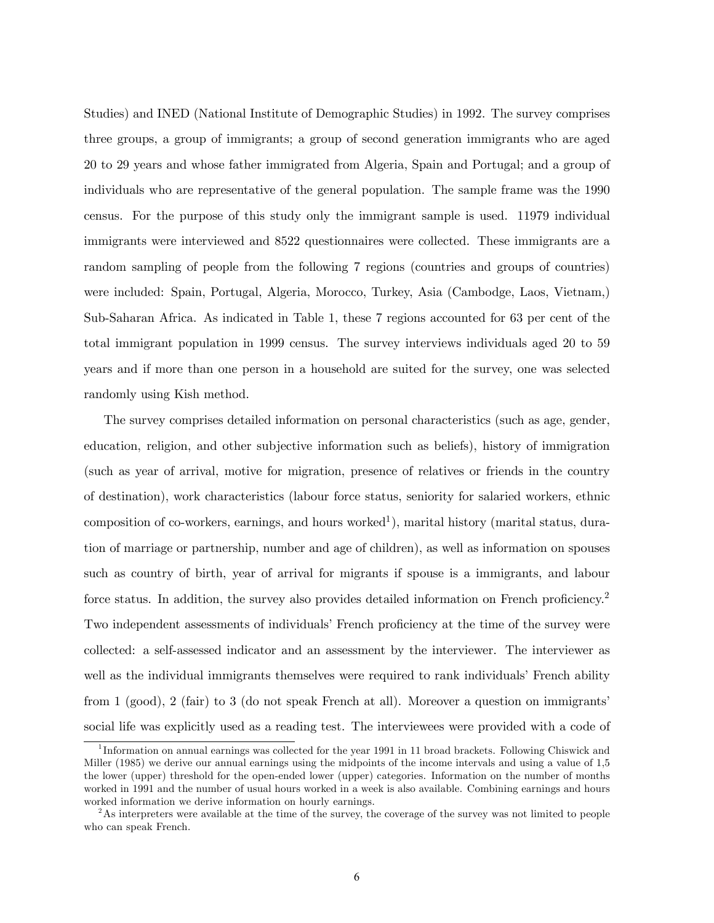Studies) and INED (National Institute of Demographic Studies) in 1992. The survey comprises three groups, a group of immigrants; a group of second generation immigrants who are aged 20 to 29 years and whose father immigrated from Algeria, Spain and Portugal; and a group of individuals who are representative of the general population. The sample frame was the 1990 census. For the purpose of this study only the immigrant sample is used. 11979 individual immigrants were interviewed and 8522 questionnaires were collected. These immigrants are a random sampling of people from the following 7 regions (countries and groups of countries) were included: Spain, Portugal, Algeria, Morocco, Turkey, Asia (Cambodge, Laos, Vietnam,) Sub-Saharan Africa. As indicated in Table 1, these 7 regions accounted for 63 per cent of the total immigrant population in 1999 census. The survey interviews individuals aged 20 to 59 years and if more than one person in a household are suited for the survey, one was selected randomly using Kish method.

The survey comprises detailed information on personal characteristics (such as age, gender, education, religion, and other subjective information such as beliefs), history of immigration (such as year of arrival, motive for migration, presence of relatives or friends in the country of destination), work characteristics (labour force status, seniority for salaried workers, ethnic composition of co-workers, earnings, and hours worked<sup>1</sup>), marital history (marital status, duration of marriage or partnership, number and age of children), as well as information on spouses such as country of birth, year of arrival for migrants if spouse is a immigrants, and labour force status. In addition, the survey also provides detailed information on French proficiency.<sup>2</sup> Two independent assessments of individuals' French proficiency at the time of the survey were collected: a self-assessed indicator and an assessment by the interviewer. The interviewer as well as the individual immigrants themselves were required to rank individuals' French ability from 1 (good), 2 (fair) to 3 (do not speak French at all). Moreover a question on immigrants' social life was explicitly used as a reading test. The interviewees were provided with a code of

<sup>&</sup>lt;sup>1</sup>Information on annual earnings was collected for the year 1991 in 11 broad brackets. Following Chiswick and Miller (1985) we derive our annual earnings using the midpoints of the income intervals and using a value of 1,5 the lower (upper) threshold for the open-ended lower (upper) categories. Information on the number of months worked in 1991 and the number of usual hours worked in a week is also available. Combining earnings and hours worked information we derive information on hourly earnings.

<sup>&</sup>lt;sup>2</sup>As interpreters were available at the time of the survey, the coverage of the survey was not limited to people who can speak French.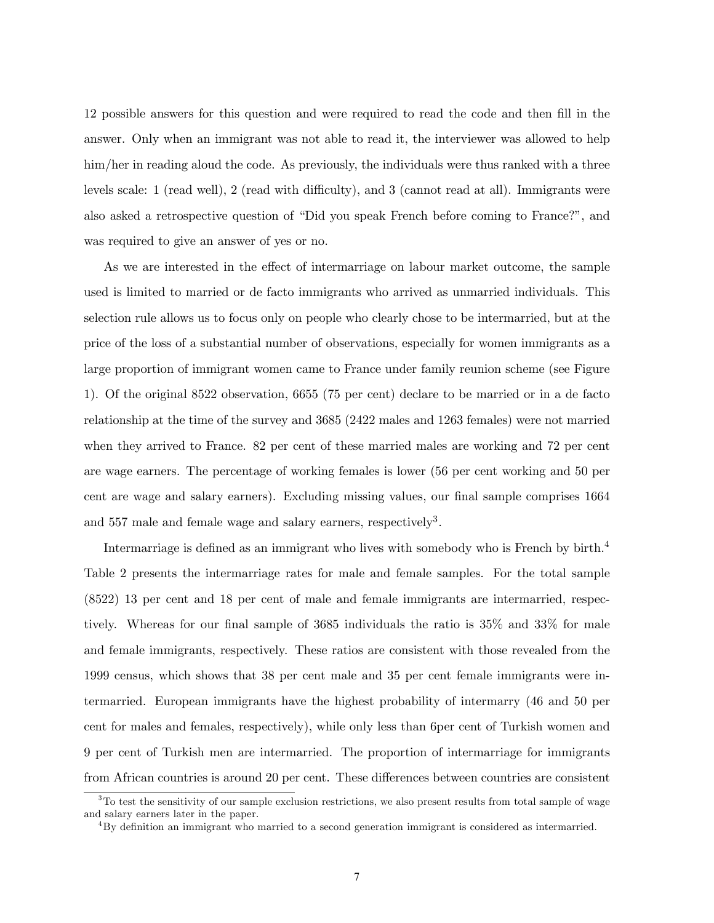12 possible answers for this question and were required to read the code and then fill in the answer. Only when an immigrant was not able to read it, the interviewer was allowed to help him/her in reading aloud the code. As previously, the individuals were thus ranked with a three levels scale: 1 (read well), 2 (read with difficulty), and 3 (cannot read at all). Immigrants were also asked a retrospective question of "Did you speak French before coming to France?", and was required to give an answer of yes or no.

As we are interested in the effect of intermarriage on labour market outcome, the sample used is limited to married or de facto immigrants who arrived as unmarried individuals. This selection rule allows us to focus only on people who clearly chose to be intermarried, but at the price of the loss of a substantial number of observations, especially for women immigrants as a large proportion of immigrant women came to France under family reunion scheme (see Figure 1). Of the original 8522 observation, 6655 (75 per cent) declare to be married or in a de facto relationship at the time of the survey and 3685 (2422 males and 1263 females) were not married when they arrived to France. 82 per cent of these married males are working and 72 per cent are wage earners. The percentage of working females is lower (56 per cent working and 50 per cent are wage and salary earners). Excluding missing values, our final sample comprises 1664 and 557 male and female wage and salary earners, respectively<sup>3</sup>.

Intermarriage is defined as an immigrant who lives with somebody who is French by birth.4 Table 2 presents the intermarriage rates for male and female samples. For the total sample (8522) 13 per cent and 18 per cent of male and female immigrants are intermarried, respectively. Whereas for our final sample of 3685 individuals the ratio is 35% and 33% for male and female immigrants, respectively. These ratios are consistent with those revealed from the 1999 census, which shows that 38 per cent male and 35 per cent female immigrants were intermarried. European immigrants have the highest probability of intermarry (46 and 50 per cent for males and females, respectively), while only less than 6per cent of Turkish women and 9 per cent of Turkish men are intermarried. The proportion of intermarriage for immigrants from African countries is around 20 per cent. These differences between countries are consistent

<sup>&</sup>lt;sup>3</sup>To test the sensitivity of our sample exclusion restrictions, we also present results from total sample of wage and salary earners later in the paper.

<sup>4</sup>By definition an immigrant who married to a second generation immigrant is considered as intermarried.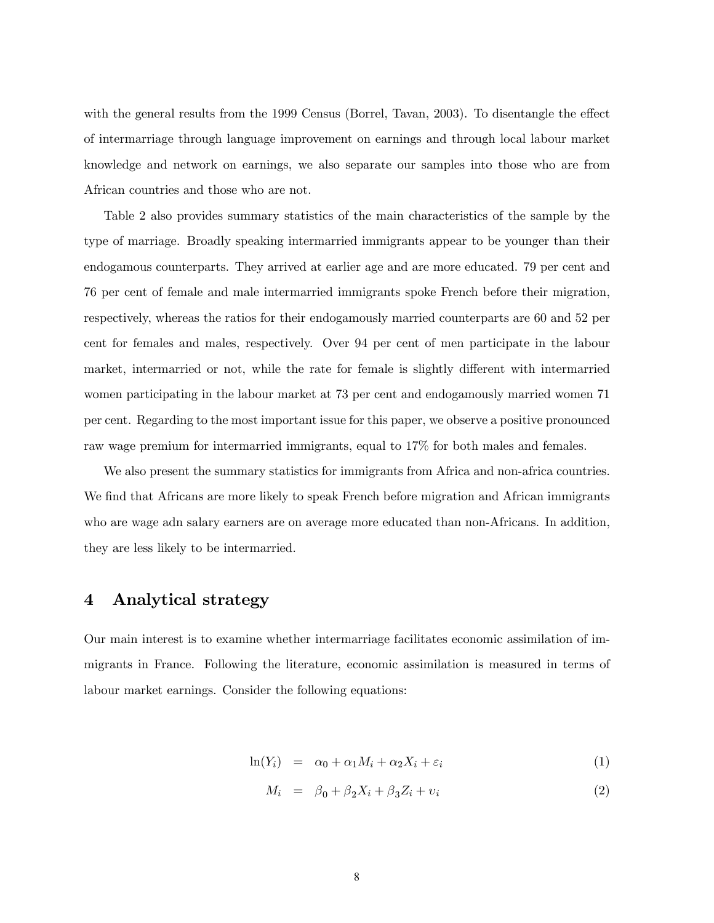with the general results from the 1999 Census (Borrel, Tavan, 2003). To disentangle the effect of intermarriage through language improvement on earnings and through local labour market knowledge and network on earnings, we also separate our samples into those who are from African countries and those who are not.

Table 2 also provides summary statistics of the main characteristics of the sample by the type of marriage. Broadly speaking intermarried immigrants appear to be younger than their endogamous counterparts. They arrived at earlier age and are more educated. 79 per cent and 76 per cent of female and male intermarried immigrants spoke French before their migration, respectively, whereas the ratios for their endogamously married counterparts are 60 and 52 per cent for females and males, respectively. Over 94 per cent of men participate in the labour market, intermarried or not, while the rate for female is slightly different with intermarried women participating in the labour market at 73 per cent and endogamously married women 71 per cent. Regarding to the most important issue for this paper, we observe a positive pronounced raw wage premium for intermarried immigrants, equal to 17% for both males and females.

We also present the summary statistics for immigrants from Africa and non-africa countries. We find that Africans are more likely to speak French before migration and African immigrants who are wage adn salary earners are on average more educated than non-Africans. In addition, they are less likely to be intermarried.

### 4 Analytical strategy

Our main interest is to examine whether intermarriage facilitates economic assimilation of immigrants in France. Following the literature, economic assimilation is measured in terms of labour market earnings. Consider the following equations:

$$
\ln(Y_i) = \alpha_0 + \alpha_1 M_i + \alpha_2 X_i + \varepsilon_i \tag{1}
$$

$$
M_i = \beta_0 + \beta_2 X_i + \beta_3 Z_i + v_i \tag{2}
$$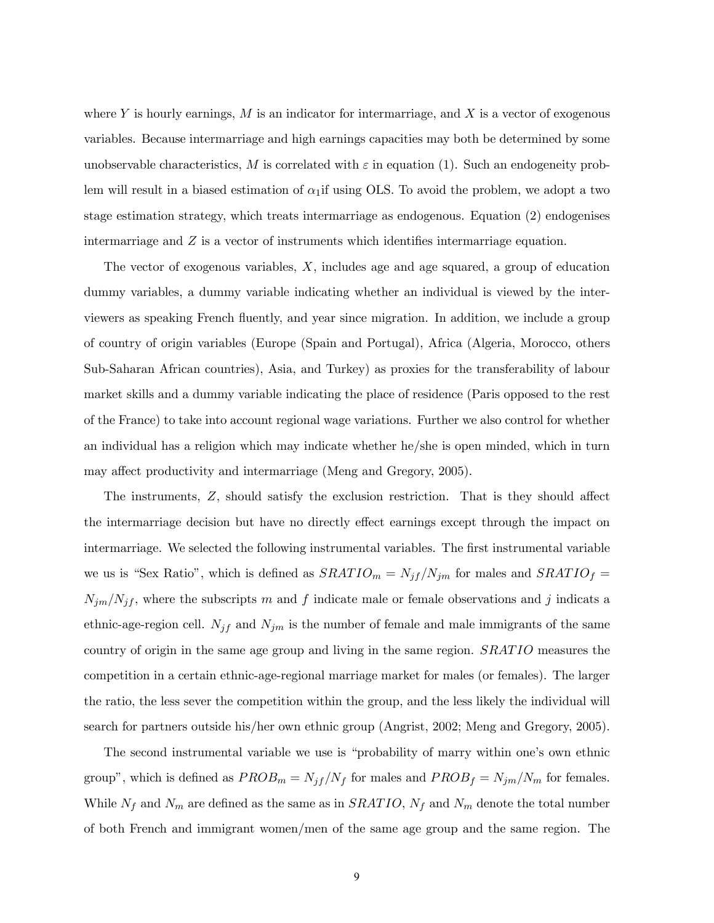where Y is hourly earnings,  $M$  is an indicator for intermarriage, and  $X$  is a vector of exogenous variables. Because intermarriage and high earnings capacities may both be determined by some unobservable characteristics, M is correlated with  $\varepsilon$  in equation (1). Such an endogeneity problem will result in a biased estimation of  $\alpha_1$ if using OLS. To avoid the problem, we adopt a two stage estimation strategy, which treats intermarriage as endogenous. Equation (2) endogenises intermarriage and Z is a vector of instruments which identifies intermarriage equation.

The vector of exogenous variables, X, includes age and age squared, a group of education dummy variables, a dummy variable indicating whether an individual is viewed by the interviewers as speaking French fluently, and year since migration. In addition, we include a group of country of origin variables (Europe (Spain and Portugal), Africa (Algeria, Morocco, others Sub-Saharan African countries), Asia, and Turkey) as proxies for the transferability of labour market skills and a dummy variable indicating the place of residence (Paris opposed to the rest of the France) to take into account regional wage variations. Further we also control for whether an individual has a religion which may indicate whether he/she is open minded, which in turn may affect productivity and intermarriage (Meng and Gregory, 2005).

The instruments, Z, should satisfy the exclusion restriction. That is they should affect the intermarriage decision but have no directly effect earnings except through the impact on intermarriage. We selected the following instrumental variables. The first instrumental variable we us is "Sex Ratio", which is defined as  $SRATIO_m = N_{jf}/N_{jm}$  for males and  $SRATIO_f =$  $N_{jm}/N_{jf}$ , where the subscripts m and f indicate male or female observations and j indicats a ethnic-age-region cell.  $N_{jf}$  and  $N_{jm}$  is the number of female and male immigrants of the same country of origin in the same age group and living in the same region. SRATIO measures the competition in a certain ethnic-age-regional marriage market for males (or females). The larger the ratio, the less sever the competition within the group, and the less likely the individual will search for partners outside his/her own ethnic group (Angrist, 2002; Meng and Gregory, 2005).

The second instrumental variable we use is "probability of marry within one's own ethnic group", which is defined as  $PROB_m = N_{jf}/N_f$  for males and  $PROB_f = N_{jm}/N_m$  for females. While  $N_f$  and  $N_m$  are defined as the same as in  $SRATIO$ ,  $N_f$  and  $N_m$  denote the total number of both French and immigrant women/men of the same age group and the same region. The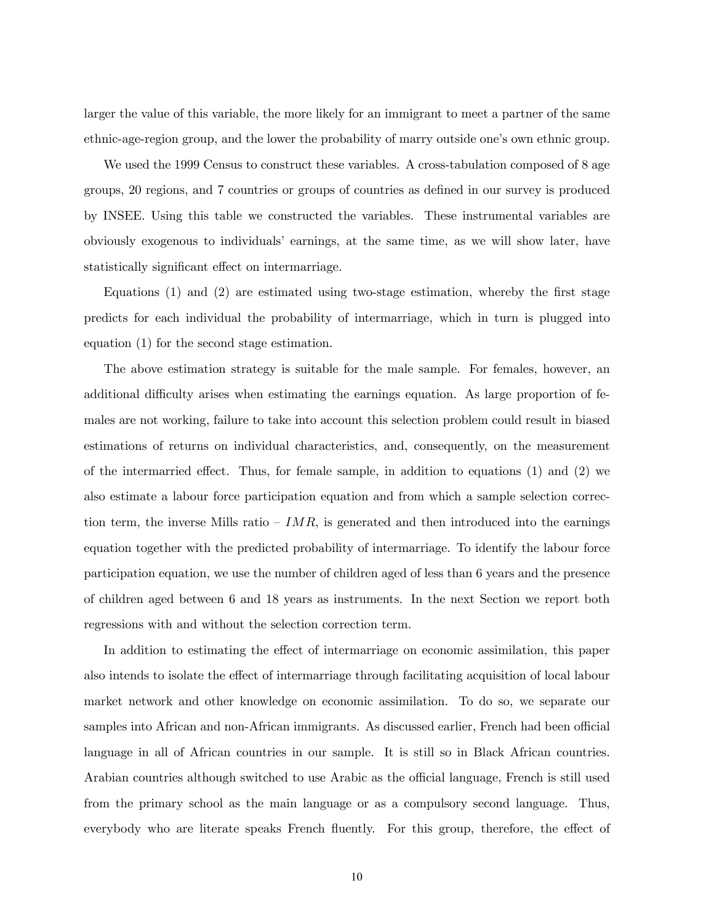larger the value of this variable, the more likely for an immigrant to meet a partner of the same ethnic-age-region group, and the lower the probability of marry outside one's own ethnic group.

We used the 1999 Census to construct these variables. A cross-tabulation composed of 8 age groups, 20 regions, and 7 countries or groups of countries as defined in our survey is produced by INSEE. Using this table we constructed the variables. These instrumental variables are obviously exogenous to individuals' earnings, at the same time, as we will show later, have statistically significant effect on intermarriage.

Equations (1) and (2) are estimated using two-stage estimation, whereby the first stage predicts for each individual the probability of intermarriage, which in turn is plugged into equation (1) for the second stage estimation.

The above estimation strategy is suitable for the male sample. For females, however, an additional difficulty arises when estimating the earnings equation. As large proportion of females are not working, failure to take into account this selection problem could result in biased estimations of returns on individual characteristics, and, consequently, on the measurement of the intermarried effect. Thus, for female sample, in addition to equations (1) and (2) we also estimate a labour force participation equation and from which a sample selection correction term, the inverse Mills ratio  $-IMR$ , is generated and then introduced into the earnings equation together with the predicted probability of intermarriage. To identify the labour force participation equation, we use the number of children aged of less than 6 years and the presence of children aged between 6 and 18 years as instruments. In the next Section we report both regressions with and without the selection correction term.

In addition to estimating the effect of intermarriage on economic assimilation, this paper also intends to isolate the effect of intermarriage through facilitating acquisition of local labour market network and other knowledge on economic assimilation. To do so, we separate our samples into African and non-African immigrants. As discussed earlier, French had been official language in all of African countries in our sample. It is still so in Black African countries. Arabian countries although switched to use Arabic as the official language, French is still used from the primary school as the main language or as a compulsory second language. Thus, everybody who are literate speaks French fluently. For this group, therefore, the effect of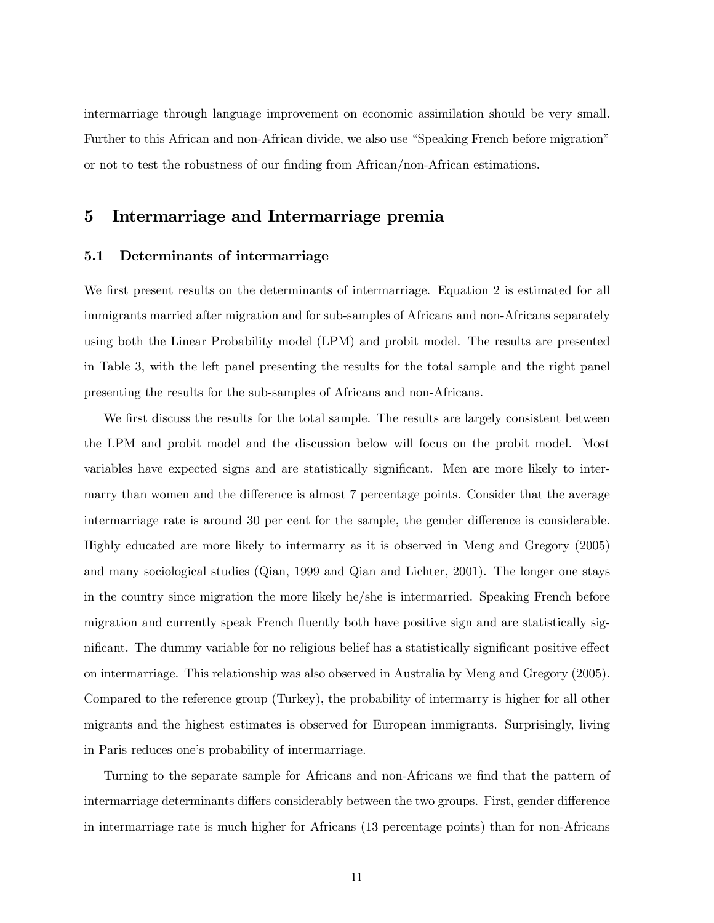intermarriage through language improvement on economic assimilation should be very small. Further to this African and non-African divide, we also use "Speaking French before migration" or not to test the robustness of our finding from African/non-African estimations.

## 5 Intermarriage and Intermarriage premia

### 5.1 Determinants of intermarriage

We first present results on the determinants of intermarriage. Equation 2 is estimated for all immigrants married after migration and for sub-samples of Africans and non-Africans separately using both the Linear Probability model (LPM) and probit model. The results are presented in Table 3, with the left panel presenting the results for the total sample and the right panel presenting the results for the sub-samples of Africans and non-Africans.

We first discuss the results for the total sample. The results are largely consistent between the LPM and probit model and the discussion below will focus on the probit model. Most variables have expected signs and are statistically significant. Men are more likely to intermarry than women and the difference is almost 7 percentage points. Consider that the average intermarriage rate is around 30 per cent for the sample, the gender difference is considerable. Highly educated are more likely to intermarry as it is observed in Meng and Gregory (2005) and many sociological studies (Qian, 1999 and Qian and Lichter, 2001). The longer one stays in the country since migration the more likely he/she is intermarried. Speaking French before migration and currently speak French fluently both have positive sign and are statistically significant. The dummy variable for no religious belief has a statistically significant positive effect on intermarriage. This relationship was also observed in Australia by Meng and Gregory (2005). Compared to the reference group (Turkey), the probability of intermarry is higher for all other migrants and the highest estimates is observed for European immigrants. Surprisingly, living in Paris reduces one's probability of intermarriage.

Turning to the separate sample for Africans and non-Africans we find that the pattern of intermarriage determinants differs considerably between the two groups. First, gender difference in intermarriage rate is much higher for Africans (13 percentage points) than for non-Africans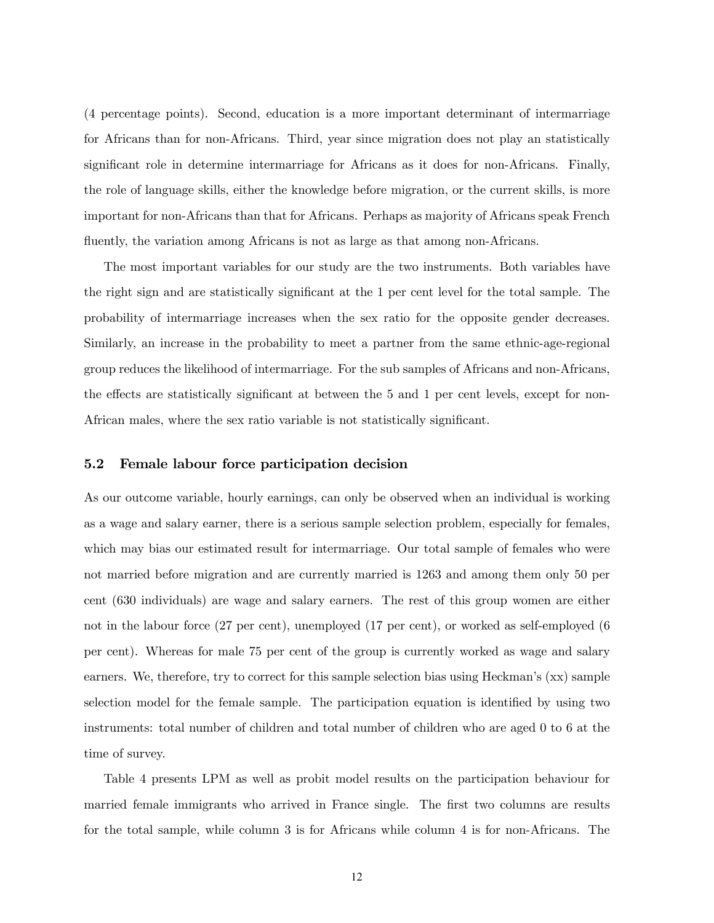(4 percentage points). Second, education is a more important determinant of intermarriage for Africans than for non-Africans. Third, year since migration does not play an statistically significant role in determine intermarriage for Africans as it does for non-Africans. Finally, the role of language skills, either the knowledge before migration, or the current skills, is more important for non-Africans than that for Africans. Perhaps as majority of Africans speak French fluently, the variation among Africans is not as large as that among non-Africans.

The most important variables for our study are the two instruments. Both variables have the right sign and are statistically significant at the 1 per cent level for the total sample. The probability of intermarriage increases when the sex ratio for the opposite gender decreases. Similarly, an increase in the probability to meet a partner from the same ethnic-age-regional group reduces the likelihood of intermarriage. For the sub samples of Africans and non-Africans, the effects are statistically significant at between the 5 and 1 per cent levels, except for non-African males, where the sex ratio variable is not statistically significant.

#### 5.2 Female labour force participation decision

As our outcome variable, hourly earnings, can only be observed when an individual is working as a wage and salary earner, there is a serious sample selection problem, especially for females, which may bias our estimated result for intermarriage. Our total sample of females who were not married before migration and are currently married is 1263 and among them only 50 per cent (630 individuals) are wage and salary earners. The rest of this group women are either not in the labour force (27 per cent), unemployed (17 per cent), or worked as self-employed (6 per cent). Whereas for male 75 per cent of the group is currently worked as wage and salary earners. We, therefore, try to correct for this sample selection bias using Heckman's (xx) sample selection model for the female sample. The participation equation is identified by using two instruments: total number of children and total number of children who are aged 0 to 6 at the time of survey.

Table 4 presents LPM as well as probit model results on the participation behaviour for married female immigrants who arrived in France single. The first two columns are results for the total sample, while column 3 is for Africans while column 4 is for non-Africans. The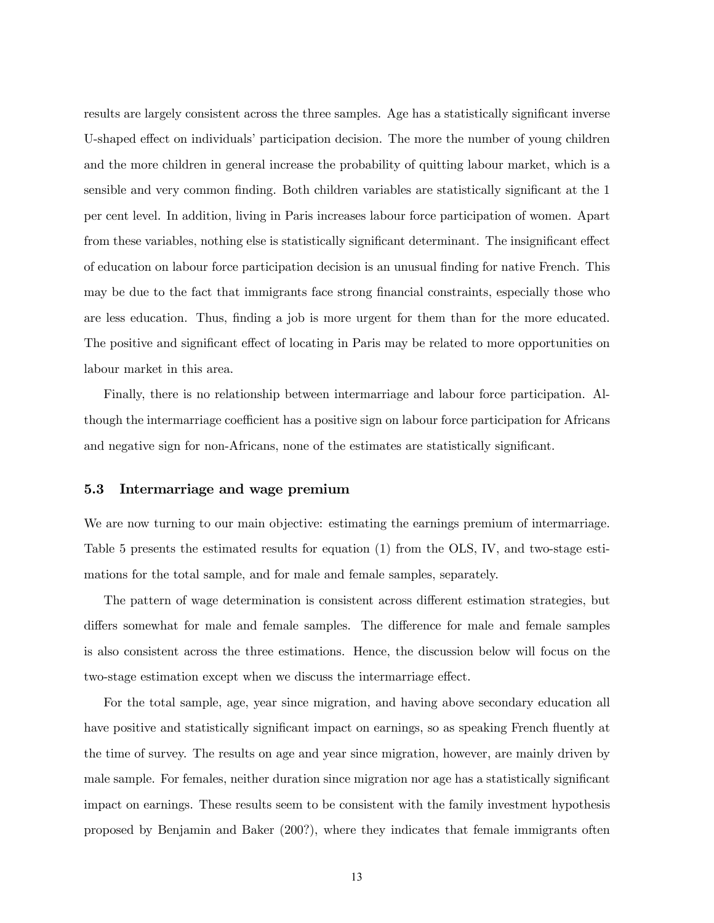results are largely consistent across the three samples. Age has a statistically significant inverse U-shaped effect on individuals' participation decision. The more the number of young children and the more children in general increase the probability of quitting labour market, which is a sensible and very common finding. Both children variables are statistically significant at the 1 per cent level. In addition, living in Paris increases labour force participation of women. Apart from these variables, nothing else is statistically significant determinant. The insignificant effect of education on labour force participation decision is an unusual finding for native French. This may be due to the fact that immigrants face strong financial constraints, especially those who are less education. Thus, finding a job is more urgent for them than for the more educated. The positive and significant effect of locating in Paris may be related to more opportunities on labour market in this area.

Finally, there is no relationship between intermarriage and labour force participation. Although the intermarriage coefficient has a positive sign on labour force participation for Africans and negative sign for non-Africans, none of the estimates are statistically significant.

#### 5.3 Intermarriage and wage premium

We are now turning to our main objective: estimating the earnings premium of intermarriage. Table 5 presents the estimated results for equation (1) from the OLS, IV, and two-stage estimations for the total sample, and for male and female samples, separately.

The pattern of wage determination is consistent across different estimation strategies, but differs somewhat for male and female samples. The difference for male and female samples is also consistent across the three estimations. Hence, the discussion below will focus on the two-stage estimation except when we discuss the intermarriage effect.

For the total sample, age, year since migration, and having above secondary education all have positive and statistically significant impact on earnings, so as speaking French fluently at the time of survey. The results on age and year since migration, however, are mainly driven by male sample. For females, neither duration since migration nor age has a statistically significant impact on earnings. These results seem to be consistent with the family investment hypothesis proposed by Benjamin and Baker (200?), where they indicates that female immigrants often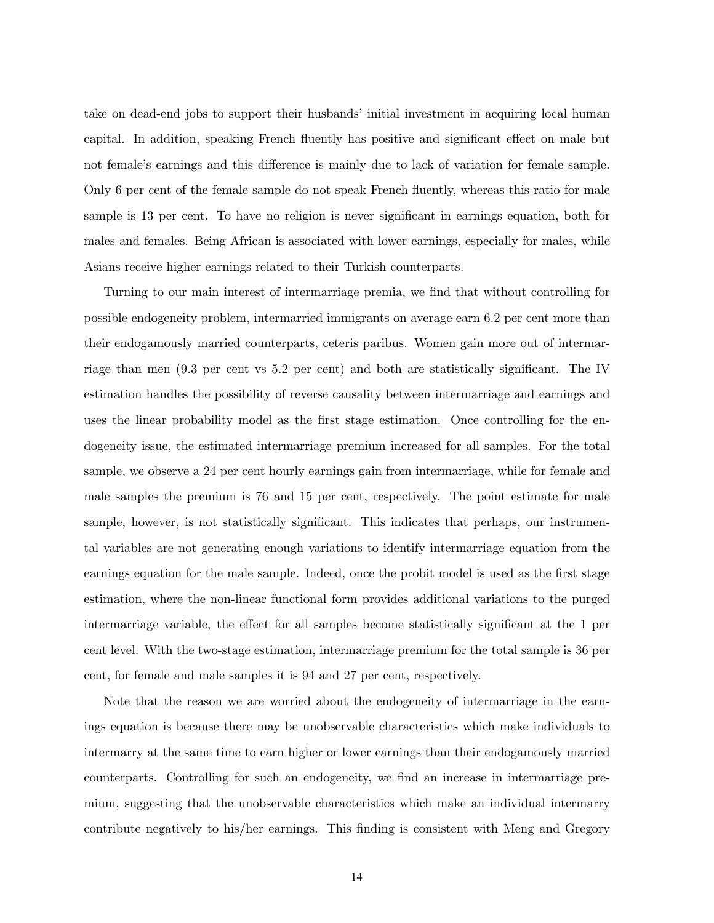take on dead-end jobs to support their husbands' initial investment in acquiring local human capital. In addition, speaking French fluently has positive and significant effect on male but not female's earnings and this difference is mainly due to lack of variation for female sample. Only 6 per cent of the female sample do not speak French fluently, whereas this ratio for male sample is 13 per cent. To have no religion is never significant in earnings equation, both for males and females. Being African is associated with lower earnings, especially for males, while Asians receive higher earnings related to their Turkish counterparts.

Turning to our main interest of intermarriage premia, we find that without controlling for possible endogeneity problem, intermarried immigrants on average earn 6.2 per cent more than their endogamously married counterparts, ceteris paribus. Women gain more out of intermarriage than men (9.3 per cent vs 5.2 per cent) and both are statistically significant. The IV estimation handles the possibility of reverse causality between intermarriage and earnings and uses the linear probability model as the first stage estimation. Once controlling for the endogeneity issue, the estimated intermarriage premium increased for all samples. For the total sample, we observe a 24 per cent hourly earnings gain from intermarriage, while for female and male samples the premium is 76 and 15 per cent, respectively. The point estimate for male sample, however, is not statistically significant. This indicates that perhaps, our instrumental variables are not generating enough variations to identify intermarriage equation from the earnings equation for the male sample. Indeed, once the probit model is used as the first stage estimation, where the non-linear functional form provides additional variations to the purged intermarriage variable, the effect for all samples become statistically significant at the 1 per cent level. With the two-stage estimation, intermarriage premium for the total sample is 36 per cent, for female and male samples it is 94 and 27 per cent, respectively.

Note that the reason we are worried about the endogeneity of intermarriage in the earnings equation is because there may be unobservable characteristics which make individuals to intermarry at the same time to earn higher or lower earnings than their endogamously married counterparts. Controlling for such an endogeneity, we find an increase in intermarriage premium, suggesting that the unobservable characteristics which make an individual intermarry contribute negatively to his/her earnings. This finding is consistent with Meng and Gregory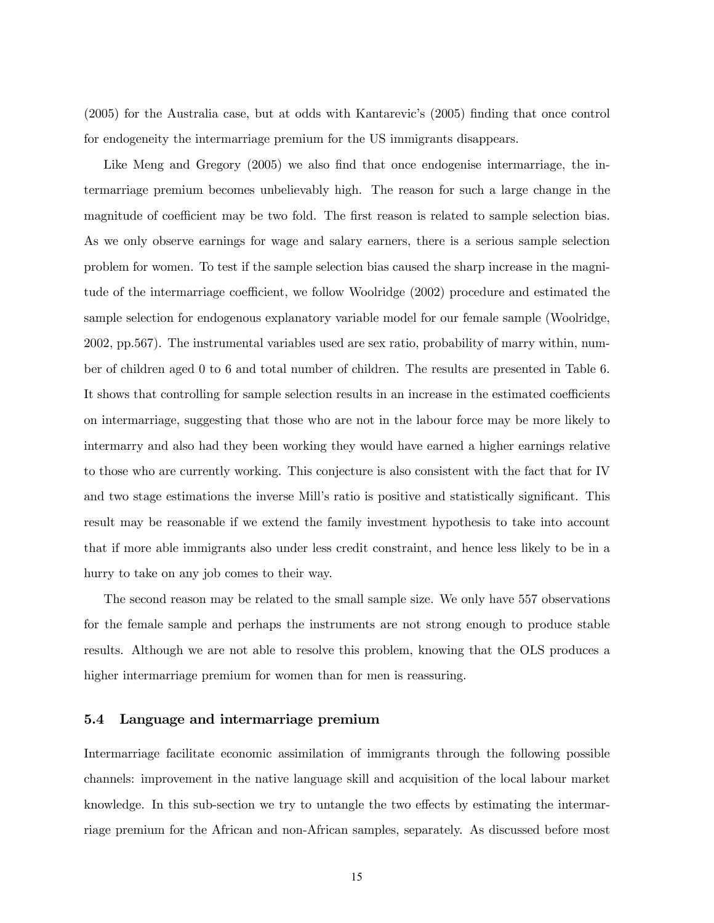(2005) for the Australia case, but at odds with Kantarevic's (2005) finding that once control for endogeneity the intermarriage premium for the US immigrants disappears.

Like Meng and Gregory (2005) we also find that once endogenise intermarriage, the intermarriage premium becomes unbelievably high. The reason for such a large change in the magnitude of coefficient may be two fold. The first reason is related to sample selection bias. As we only observe earnings for wage and salary earners, there is a serious sample selection problem for women. To test if the sample selection bias caused the sharp increase in the magnitude of the intermarriage coefficient, we follow Woolridge (2002) procedure and estimated the sample selection for endogenous explanatory variable model for our female sample (Woolridge, 2002, pp.567). The instrumental variables used are sex ratio, probability of marry within, number of children aged 0 to 6 and total number of children. The results are presented in Table 6. It shows that controlling for sample selection results in an increase in the estimated coefficients on intermarriage, suggesting that those who are not in the labour force may be more likely to intermarry and also had they been working they would have earned a higher earnings relative to those who are currently working. This conjecture is also consistent with the fact that for IV and two stage estimations the inverse Mill's ratio is positive and statistically significant. This result may be reasonable if we extend the family investment hypothesis to take into account that if more able immigrants also under less credit constraint, and hence less likely to be in a hurry to take on any job comes to their way.

The second reason may be related to the small sample size. We only have 557 observations for the female sample and perhaps the instruments are not strong enough to produce stable results. Although we are not able to resolve this problem, knowing that the OLS produces a higher intermarriage premium for women than for men is reassuring.

#### 5.4 Language and intermarriage premium

Intermarriage facilitate economic assimilation of immigrants through the following possible channels: improvement in the native language skill and acquisition of the local labour market knowledge. In this sub-section we try to untangle the two effects by estimating the intermarriage premium for the African and non-African samples, separately. As discussed before most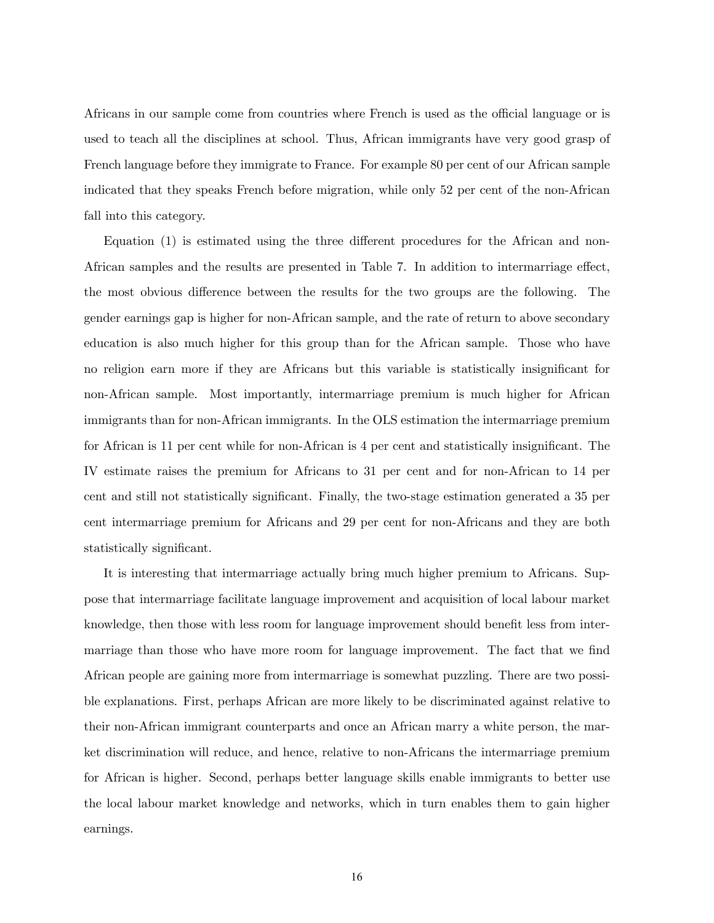Africans in our sample come from countries where French is used as the official language or is used to teach all the disciplines at school. Thus, African immigrants have very good grasp of French language before they immigrate to France. For example 80 per cent of our African sample indicated that they speaks French before migration, while only 52 per cent of the non-African fall into this category.

Equation (1) is estimated using the three different procedures for the African and non-African samples and the results are presented in Table 7. In addition to intermarriage effect, the most obvious difference between the results for the two groups are the following. The gender earnings gap is higher for non-African sample, and the rate of return to above secondary education is also much higher for this group than for the African sample. Those who have no religion earn more if they are Africans but this variable is statistically insignificant for non-African sample. Most importantly, intermarriage premium is much higher for African immigrants than for non-African immigrants. In the OLS estimation the intermarriage premium for African is 11 per cent while for non-African is 4 per cent and statistically insignificant. The IV estimate raises the premium for Africans to 31 per cent and for non-African to 14 per cent and still not statistically significant. Finally, the two-stage estimation generated a 35 per cent intermarriage premium for Africans and 29 per cent for non-Africans and they are both statistically significant.

It is interesting that intermarriage actually bring much higher premium to Africans. Suppose that intermarriage facilitate language improvement and acquisition of local labour market knowledge, then those with less room for language improvement should benefit less from intermarriage than those who have more room for language improvement. The fact that we find African people are gaining more from intermarriage is somewhat puzzling. There are two possible explanations. First, perhaps African are more likely to be discriminated against relative to their non-African immigrant counterparts and once an African marry a white person, the market discrimination will reduce, and hence, relative to non-Africans the intermarriage premium for African is higher. Second, perhaps better language skills enable immigrants to better use the local labour market knowledge and networks, which in turn enables them to gain higher earnings.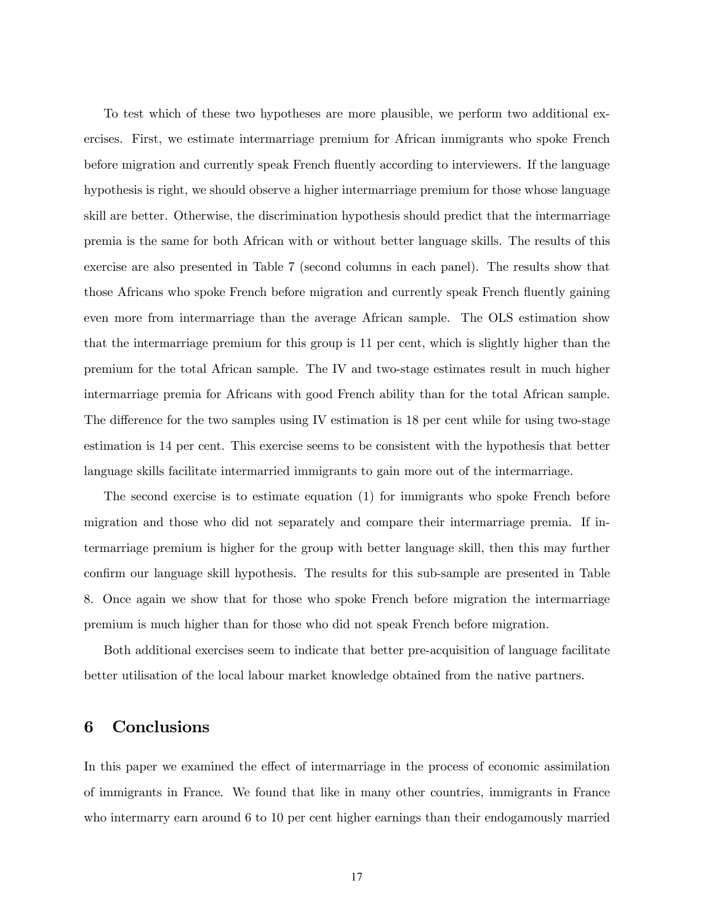To test which of these two hypotheses are more plausible, we perform two additional exercises. First, we estimate intermarriage premium for African immigrants who spoke French before migration and currently speak French fluently according to interviewers. If the language hypothesis is right, we should observe a higher intermarriage premium for those whose language skill are better. Otherwise, the discrimination hypothesis should predict that the intermarriage premia is the same for both African with or without better language skills. The results of this exercise are also presented in Table 7 (second columns in each panel). The results show that those Africans who spoke French before migration and currently speak French fluently gaining even more from intermarriage than the average African sample. The OLS estimation show that the intermarriage premium for this group is 11 per cent, which is slightly higher than the premium for the total African sample. The IV and two-stage estimates result in much higher intermarriage premia for Africans with good French ability than for the total African sample. The difference for the two samples using IV estimation is 18 per cent while for using two-stage estimation is 14 per cent. This exercise seems to be consistent with the hypothesis that better language skills facilitate intermarried immigrants to gain more out of the intermarriage.

The second exercise is to estimate equation (1) for immigrants who spoke French before migration and those who did not separately and compare their intermarriage premia. If intermarriage premium is higher for the group with better language skill, then this may further confirm our language skill hypothesis. The results for this sub-sample are presented in Table 8. Once again we show that for those who spoke French before migration the intermarriage premium is much higher than for those who did not speak French before migration.

Both additional exercises seem to indicate that better pre-acquisition of language facilitate better utilisation of the local labour market knowledge obtained from the native partners.

# 6 Conclusions

In this paper we examined the effect of intermarriage in the process of economic assimilation of immigrants in France. We found that like in many other countries, immigrants in France who intermarry earn around 6 to 10 per cent higher earnings than their endogamously married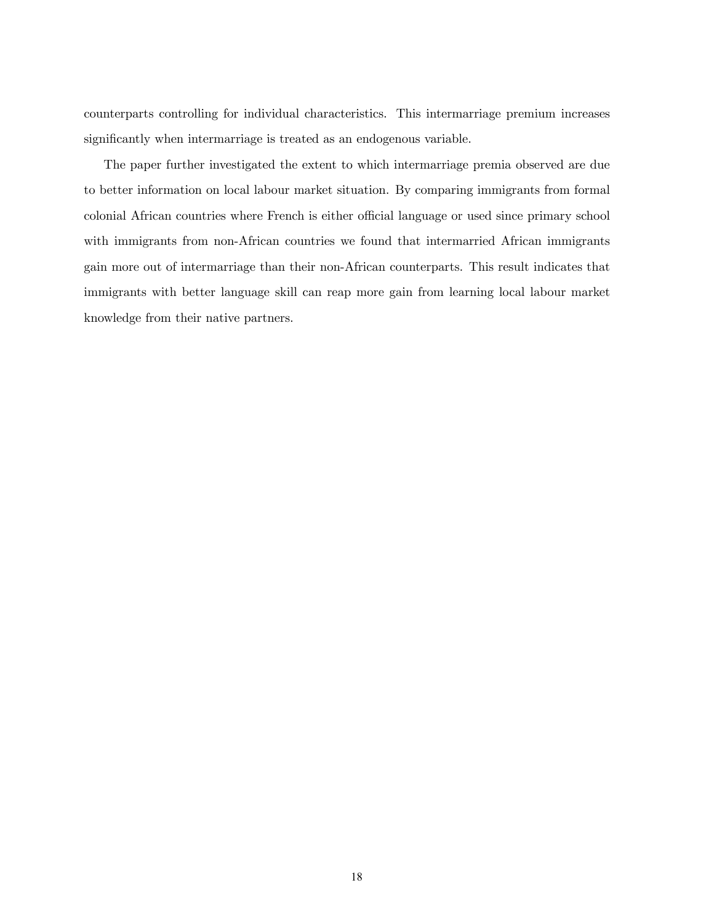counterparts controlling for individual characteristics. This intermarriage premium increases significantly when intermarriage is treated as an endogenous variable.

The paper further investigated the extent to which intermarriage premia observed are due to better information on local labour market situation. By comparing immigrants from formal colonial African countries where French is either official language or used since primary school with immigrants from non-African countries we found that intermarried African immigrants gain more out of intermarriage than their non-African counterparts. This result indicates that immigrants with better language skill can reap more gain from learning local labour market knowledge from their native partners.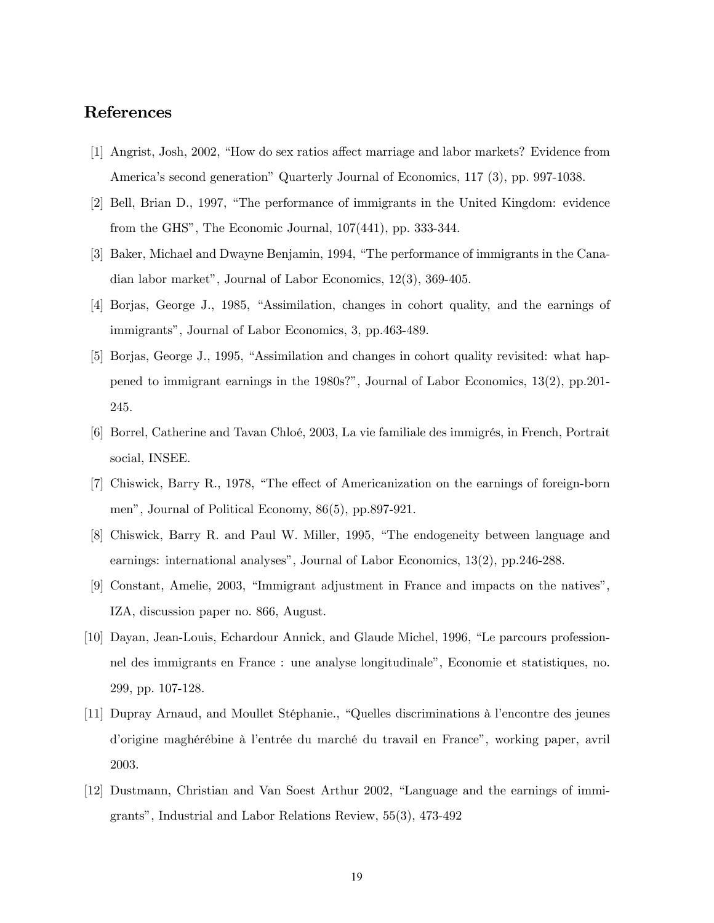# References

- [1] Angrist, Josh, 2002, "How do sex ratios affect marriage and labor markets? Evidence from America's second generation" Quarterly Journal of Economics, 117 (3), pp. 997-1038.
- [2] Bell, Brian D., 1997, "The performance of immigrants in the United Kingdom: evidence from the GHS", The Economic Journal, 107(441), pp. 333-344.
- [3] Baker, Michael and Dwayne Benjamin, 1994, "The performance of immigrants in the Canadian labor market", Journal of Labor Economics, 12(3), 369-405.
- [4] Borjas, George J., 1985, "Assimilation, changes in cohort quality, and the earnings of immigrants", Journal of Labor Economics, 3, pp.463-489.
- [5] Borjas, George J., 1995, "Assimilation and changes in cohort quality revisited: what happened to immigrant earnings in the 1980s?", Journal of Labor Economics, 13(2), pp.201- 245.
- [6] Borrel, Catherine and Tavan Chloé, 2003, La vie familiale des immigrés, in French, Portrait social, INSEE.
- [7] Chiswick, Barry R., 1978, "The effect of Americanization on the earnings of foreign-born men", Journal of Political Economy, 86(5), pp.897-921.
- [8] Chiswick, Barry R. and Paul W. Miller, 1995, "The endogeneity between language and earnings: international analyses", Journal of Labor Economics, 13(2), pp.246-288.
- [9] Constant, Amelie, 2003, "Immigrant adjustment in France and impacts on the natives", IZA, discussion paper no. 866, August.
- [10] Dayan, Jean-Louis, Echardour Annick, and Glaude Michel, 1996, "Le parcours professionnel des immigrants en France : une analyse longitudinale", Economie et statistiques, no. 299, pp. 107-128.
- [11] Dupray Arnaud, and Moullet Stéphanie., "Quelles discriminations à l'encontre des jeunes d'origine maghérébine à l'entrée du marché du travail en France", working paper, avril 2003.
- [12] Dustmann, Christian and Van Soest Arthur 2002, "Language and the earnings of immigrants", Industrial and Labor Relations Review, 55(3), 473-492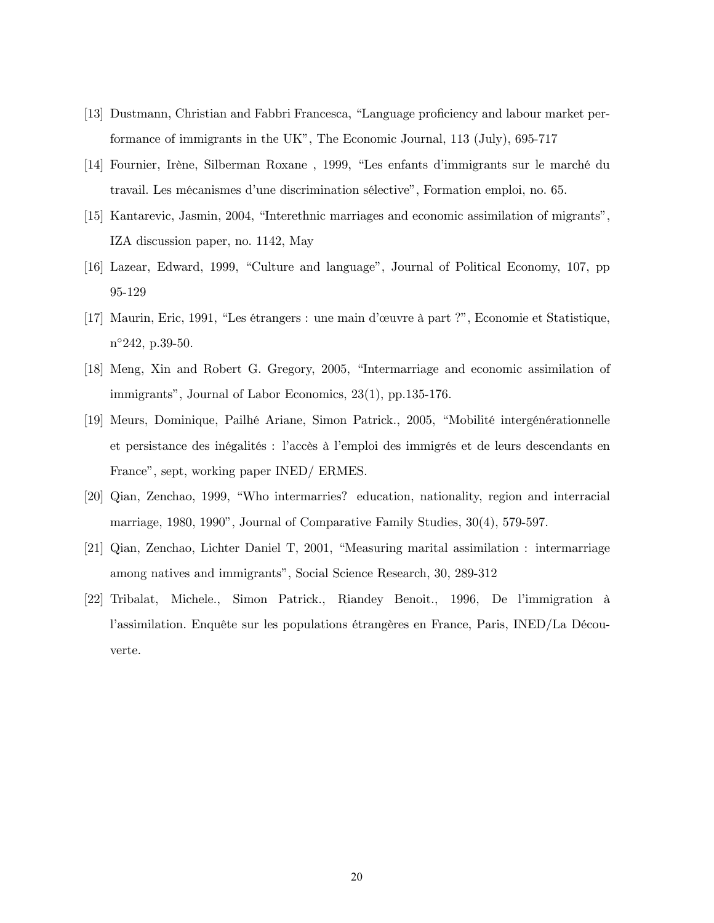- [13] Dustmann, Christian and Fabbri Francesca, "Language proficiency and labour market performance of immigrants in the UK", The Economic Journal, 113 (July), 695-717
- [14] Fournier, Irène, Silberman Roxane , 1999, "Les enfants d'immigrants sur le marché du travail. Les mécanismes d'une discrimination sélective", Formation emploi, no. 65.
- [15] Kantarevic, Jasmin, 2004, "Interethnic marriages and economic assimilation of migrants", IZA discussion paper, no. 1142, May
- [16] Lazear, Edward, 1999, "Culture and language", Journal of Political Economy, 107, pp 95-129
- [17] Maurin, Eric, 1991, "Les étrangers : une main d'œuvre à part ?", Economie et Statistique, n◦242, p.39-50.
- [18] Meng, Xin and Robert G. Gregory, 2005, "Intermarriage and economic assimilation of immigrants", Journal of Labor Economics, 23(1), pp.135-176.
- [19] Meurs, Dominique, Pailhé Ariane, Simon Patrick., 2005, "Mobilité intergénérationnelle et persistance des inégalités : l'accès à l'emploi des immigrés et de leurs descendants en France", sept, working paper INED/ ERMES.
- [20] Qian, Zenchao, 1999, "Who intermarries? education, nationality, region and interracial marriage, 1980, 1990", Journal of Comparative Family Studies, 30(4), 579-597.
- [21] Qian, Zenchao, Lichter Daniel T, 2001, "Measuring marital assimilation : intermarriage among natives and immigrants", Social Science Research, 30, 289-312
- [22] Tribalat, Michele., Simon Patrick., Riandey Benoit., 1996, De l'immigration à l'assimilation. Enquête sur les populations étrangères en France, Paris, INED/La Découverte.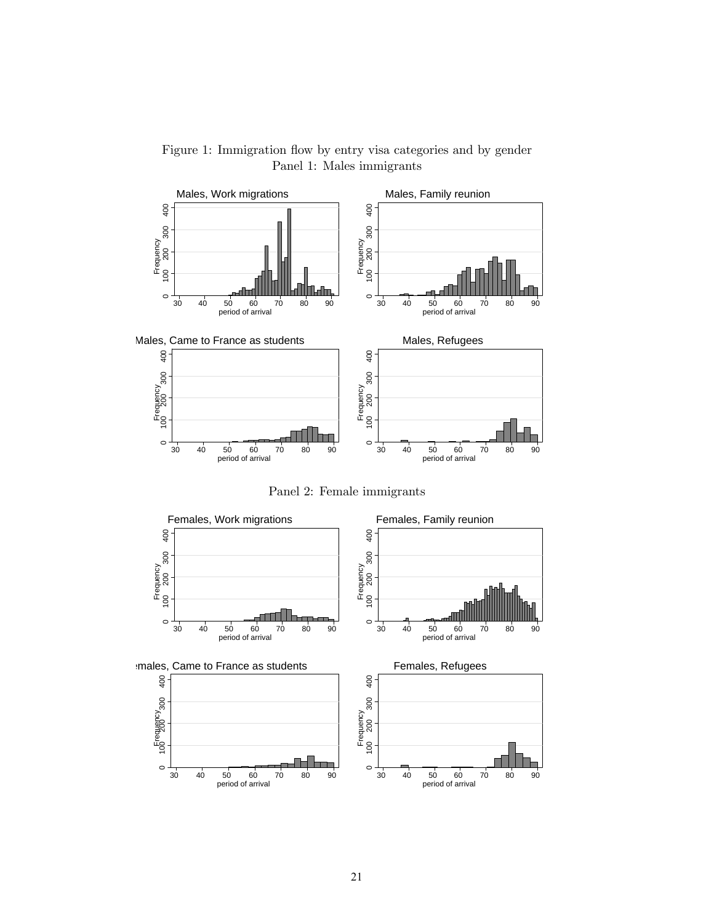

Figure 1: Immigration flow by entry visa categories and by gender Panel 1: Males immigrants

Panel 2: Female immigrants

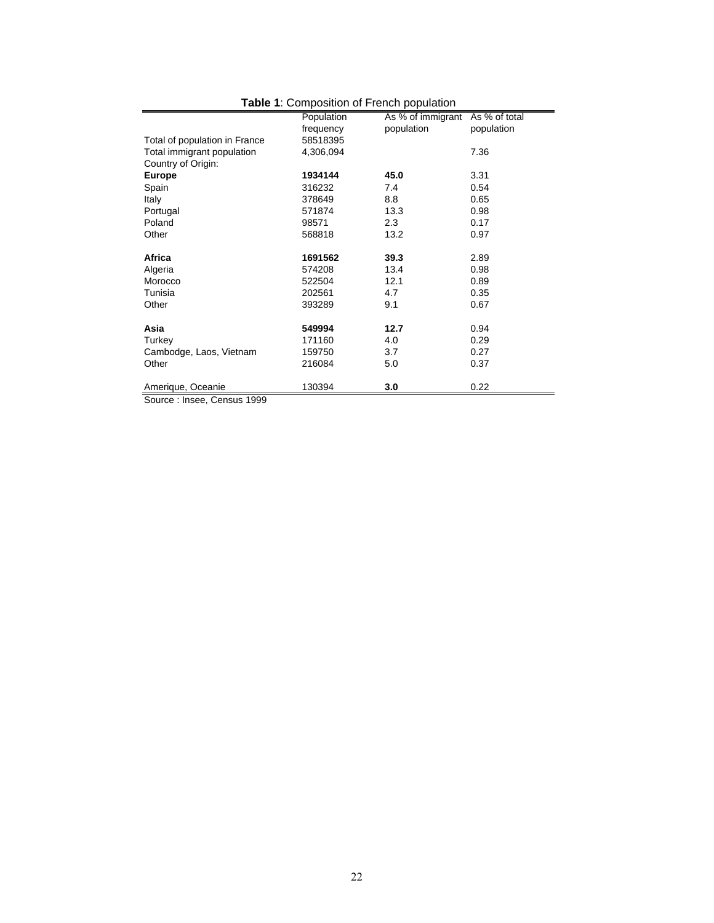| <b>Table 1.</b> Composition of Fielich population |            |                   |               |  |  |  |  |  |
|---------------------------------------------------|------------|-------------------|---------------|--|--|--|--|--|
|                                                   | Population | As % of immigrant | As % of total |  |  |  |  |  |
|                                                   | frequency  | population        | population    |  |  |  |  |  |
| Total of population in France                     | 58518395   |                   |               |  |  |  |  |  |
| Total immigrant population                        | 4,306,094  |                   | 7.36          |  |  |  |  |  |
| Country of Origin:                                |            |                   |               |  |  |  |  |  |
| <b>Europe</b>                                     | 1934144    | 45.0              | 3.31          |  |  |  |  |  |
| Spain                                             | 316232     | 7.4               | 0.54          |  |  |  |  |  |
| Italy                                             | 378649     | 8.8               | 0.65          |  |  |  |  |  |
| Portugal                                          | 571874     | 13.3              | 0.98          |  |  |  |  |  |
| Poland                                            | 98571      | 2.3               | 0.17          |  |  |  |  |  |
| Other                                             | 568818     | 13.2              | 0.97          |  |  |  |  |  |
|                                                   |            |                   |               |  |  |  |  |  |
| Africa                                            | 1691562    | 39.3              | 2.89          |  |  |  |  |  |
| Algeria                                           | 574208     | 13.4              | 0.98          |  |  |  |  |  |
| Morocco                                           | 522504     | 12.1              | 0.89          |  |  |  |  |  |
| Tunisia                                           | 202561     | 4.7               | 0.35          |  |  |  |  |  |
| Other                                             | 393289     | 9.1               | 0.67          |  |  |  |  |  |
|                                                   |            |                   |               |  |  |  |  |  |
| Asia                                              | 549994     | 12.7              | 0.94          |  |  |  |  |  |
| Turkey                                            | 171160     | 4.0               | 0.29          |  |  |  |  |  |
| Cambodge, Laos, Vietnam                           | 159750     | 3.7               | 0.27          |  |  |  |  |  |
| Other                                             | 216084     | 5.0               | 0.37          |  |  |  |  |  |
|                                                   |            |                   |               |  |  |  |  |  |
| Amerique, Oceanie                                 | 130394     | 3.0               | 0.22          |  |  |  |  |  |
| 1000                                              |            |                   |               |  |  |  |  |  |

#### **Table 1**: Composition of French population

Source : Insee, Census 1999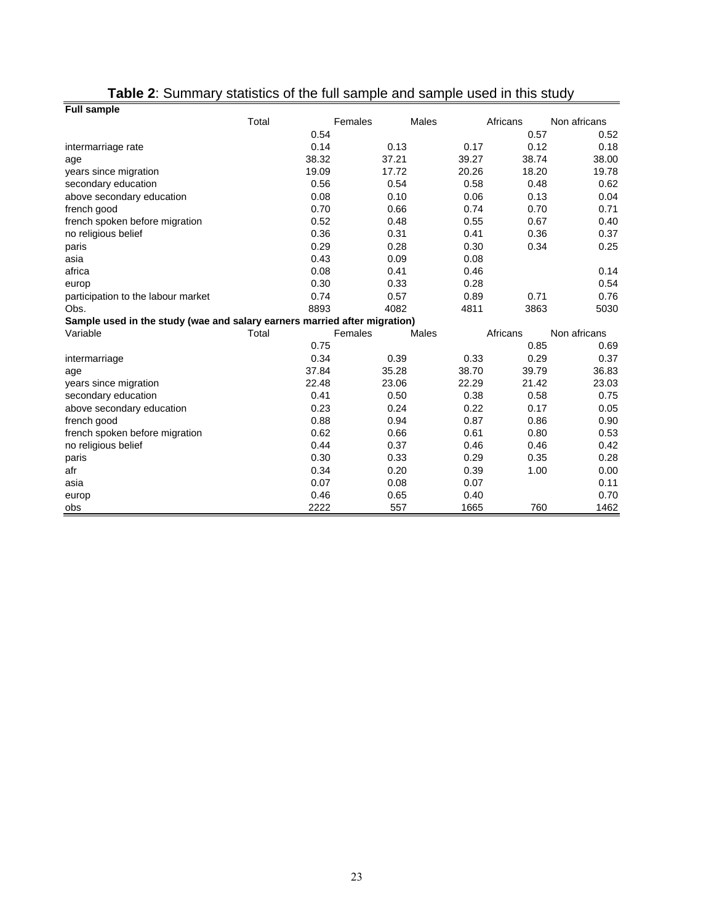| <b>Full sample</b>                                                        |       |       |         |       |       |          |              |
|---------------------------------------------------------------------------|-------|-------|---------|-------|-------|----------|--------------|
|                                                                           | Total |       | Females |       | Males | Africans | Non africans |
|                                                                           |       | 0.54  |         |       |       | 0.57     | 0.52         |
| intermarriage rate                                                        |       | 0.14  |         | 0.13  | 0.17  | 0.12     | 0.18         |
| age                                                                       |       | 38.32 |         | 37.21 | 39.27 | 38.74    | 38.00        |
| years since migration                                                     |       | 19.09 |         | 17.72 | 20.26 | 18.20    | 19.78        |
| secondary education                                                       |       | 0.56  |         | 0.54  | 0.58  | 0.48     | 0.62         |
| above secondary education                                                 |       | 0.08  |         | 0.10  | 0.06  | 0.13     | 0.04         |
| french good                                                               |       | 0.70  |         | 0.66  | 0.74  | 0.70     | 0.71         |
| french spoken before migration                                            |       | 0.52  |         | 0.48  | 0.55  | 0.67     | 0.40         |
| no religious belief                                                       |       | 0.36  |         | 0.31  | 0.41  | 0.36     | 0.37         |
| paris                                                                     |       | 0.29  |         | 0.28  | 0.30  | 0.34     | 0.25         |
| asia                                                                      |       | 0.43  |         | 0.09  | 0.08  |          |              |
| africa                                                                    |       | 0.08  |         | 0.41  | 0.46  |          | 0.14         |
| europ                                                                     |       | 0.30  |         | 0.33  | 0.28  |          | 0.54         |
| participation to the labour market                                        |       | 0.74  |         | 0.57  | 0.89  | 0.71     | 0.76         |
| Obs.                                                                      |       | 8893  |         | 4082  | 4811  | 3863     | 5030         |
| Sample used in the study (wae and salary earners married after migration) |       |       |         |       |       |          |              |
| Variable                                                                  | Total |       | Females |       | Males | Africans | Non africans |
|                                                                           |       | 0.75  |         |       |       | 0.85     | 0.69         |
| intermarriage                                                             |       | 0.34  |         | 0.39  | 0.33  | 0.29     | 0.37         |
| age                                                                       |       | 37.84 |         | 35.28 | 38.70 | 39.79    | 36.83        |
| years since migration                                                     |       | 22.48 |         | 23.06 | 22.29 | 21.42    | 23.03        |
| secondary education                                                       |       | 0.41  |         | 0.50  | 0.38  | 0.58     | 0.75         |
| above secondary education                                                 |       | 0.23  |         | 0.24  | 0.22  | 0.17     | 0.05         |
| french good                                                               |       | 0.88  |         | 0.94  | 0.87  | 0.86     | 0.90         |
| french spoken before migration                                            |       | 0.62  |         | 0.66  | 0.61  | 0.80     | 0.53         |
| no religious belief                                                       |       | 0.44  |         | 0.37  | 0.46  | 0.46     | 0.42         |
| paris                                                                     |       | 0.30  |         | 0.33  | 0.29  | 0.35     | 0.28         |
| afr                                                                       |       | 0.34  |         | 0.20  | 0.39  | 1.00     | 0.00         |
| asia                                                                      |       | 0.07  |         | 0.08  | 0.07  |          | 0.11         |
| europ                                                                     |       | 0.46  |         | 0.65  | 0.40  |          | 0.70         |
| obs                                                                       |       | 2222  |         | 557   | 1665  | 760      | 1462         |

# **Table 2**: Summary statistics of the full sample and sample used in this study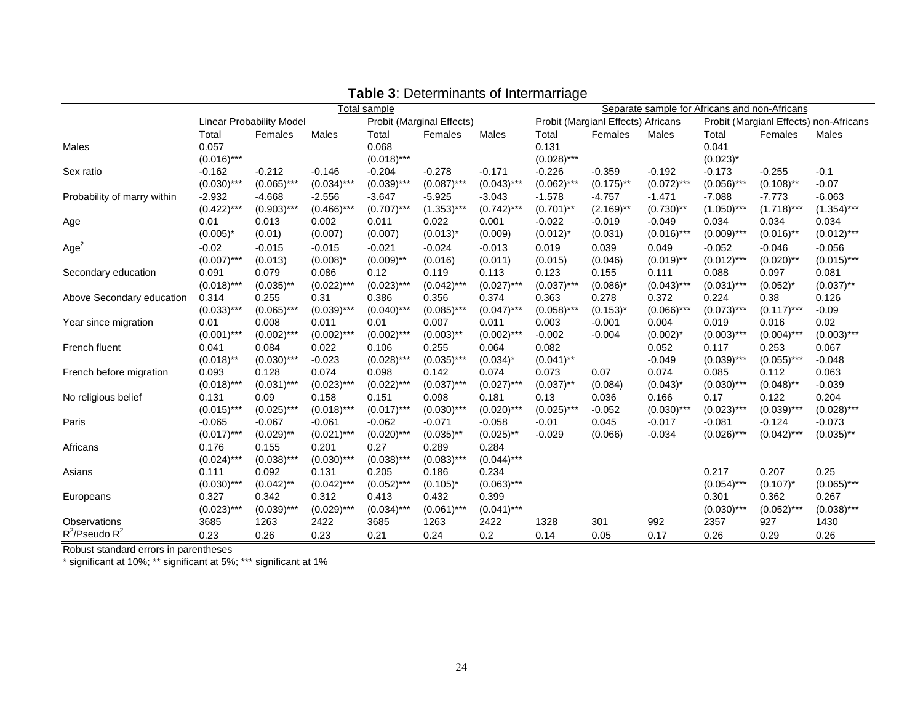|                             | Total sample  |                          |               |               |                                  | Separate sample for Africans and non-Africans |                                                                              |              |               |               |               |               |
|-----------------------------|---------------|--------------------------|---------------|---------------|----------------------------------|-----------------------------------------------|------------------------------------------------------------------------------|--------------|---------------|---------------|---------------|---------------|
|                             |               | Linear Probability Model |               |               | <b>Probit (Marginal Effects)</b> |                                               | Probit (Margianl Effects) Africans<br>Probit (Margianl Effects) non-Africans |              |               |               |               |               |
|                             | Total         | Females                  | Males         | Total         | Females                          | Males                                         | Total                                                                        | Females      | Males         | Total         | Females       | Males         |
| Males                       | 0.057         |                          |               | 0.068         |                                  |                                               | 0.131                                                                        |              |               | 0.041         |               |               |
|                             | $(0.016)$ *** |                          |               | $(0.018)***$  |                                  |                                               | $(0.028)$ ***                                                                |              |               | $(0.023)^*$   |               |               |
| Sex ratio                   | $-0.162$      | $-0.212$                 | $-0.146$      | $-0.204$      | $-0.278$                         | $-0.171$                                      | $-0.226$                                                                     | $-0.359$     | $-0.192$      | $-0.173$      | $-0.255$      | $-0.1$        |
|                             | $(0.030)$ *** | $(0.065)$ ***            | $(0.034)$ *** | $(0.039)$ *** | $(0.087)$ ***                    | $(0.043)$ ***                                 | $(0.062)$ ***                                                                | $(0.175)$ ** | $(0.072)$ *** | $(0.056)$ *** | $(0.108)$ **  | $-0.07$       |
| Probability of marry within | $-2.932$      | $-4.668$                 | $-2.556$      | $-3.647$      | $-5.925$                         | $-3.043$                                      | $-1.578$                                                                     | $-4.757$     | $-1.471$      | $-7.088$      | $-7.773$      | $-6.063$      |
|                             | $(0.422)$ *** | $(0.903)$ ***            | $(0.466)$ *** | $(0.707)$ *** | $(1.353)***$                     | $(0.742)$ ***                                 | $(0.701)$ **                                                                 | $(2.169)$ ** | $(0.730)$ **  | $(1.050)$ *** | $(1.718)***$  | $(1.354)***$  |
| Age                         | 0.01          | 0.013                    | 0.002         | 0.011         | 0.022                            | 0.001                                         | $-0.022$                                                                     | $-0.019$     | $-0.049$      | 0.034         | 0.034         | 0.034         |
|                             | $(0.005)^*$   | (0.01)                   | (0.007)       | (0.007)       | $(0.013)^*$                      | (0.009)                                       | $(0.012)^{*}$                                                                | (0.031)      | $(0.016)$ *** | $(0.009)$ *** | $(0.016)$ **  | $(0.012)$ *** |
| Age <sup>2</sup>            | $-0.02$       | $-0.015$                 | $-0.015$      | $-0.021$      | $-0.024$                         | $-0.013$                                      | 0.019                                                                        | 0.039        | 0.049         | $-0.052$      | $-0.046$      | $-0.056$      |
|                             | $(0.007)$ *** | (0.013)                  | $(0.008)^*$   | $(0.009)$ **  | (0.016)                          | (0.011)                                       | (0.015)                                                                      | (0.046)      | $(0.019)$ **  | $(0.012)$ *** | $(0.020)$ **  | $(0.015)$ *** |
| Secondary education         | 0.091         | 0.079                    | 0.086         | 0.12          | 0.119                            | 0.113                                         | 0.123                                                                        | 0.155        | 0.111         | 0.088         | 0.097         | 0.081         |
|                             | $(0.018)$ *** | $(0.035)$ **             | $(0.022)$ *** | $(0.023)$ *** | $(0.042)$ ***                    | $(0.027)$ ***                                 | $(0.037)$ ***                                                                | $(0.086)^*$  | $(0.043)$ *** | $(0.031)$ *** | $(0.052)^{*}$ | $(0.037)$ **  |
| Above Secondary education   | 0.314         | 0.255                    | 0.31          | 0.386         | 0.356                            | 0.374                                         | 0.363                                                                        | 0.278        | 0.372         | 0.224         | 0.38          | 0.126         |
|                             | $(0.033)$ *** | $(0.065)$ ***            | $(0.039)$ *** | $(0.040)$ *** | $(0.085)$ ***                    | $(0.047)$ ***                                 | $(0.058)$ ***                                                                | $(0.153)^*$  | $(0.066)$ *** | $(0.073)***$  | $(0.117)$ *** | $-0.09$       |
| Year since migration        | 0.01          | 0.008                    | 0.011         | 0.01          | 0.007                            | 0.011                                         | 0.003                                                                        | $-0.001$     | 0.004         | 0.019         | 0.016         | 0.02          |
|                             | $(0.001)$ *** | $(0.002)$ ***            | $(0.002)$ *** | $(0.002)$ *** | $(0.003)$ **                     | $(0.002)$ ***                                 | $-0.002$                                                                     | $-0.004$     | $(0.002)^*$   | $(0.003)$ *** | $(0.004)$ *** | $(0.003)$ *** |
| French fluent               | 0.041         | 0.084                    | 0.022         | 0.106         | 0.255                            | 0.064                                         | 0.082                                                                        |              | 0.052         | 0.117         | 0.253         | 0.067         |
|                             | $(0.018)$ **  | $(0.030)$ ***            | $-0.023$      | $(0.028)$ *** | $(0.035)$ ***                    | $(0.034)^*$                                   | $(0.041)$ **                                                                 |              | $-0.049$      | $(0.039)$ *** | $(0.055)$ *** | $-0.048$      |
| French before migration     | 0.093         | 0.128                    | 0.074         | 0.098         | 0.142                            | 0.074                                         | 0.073                                                                        | 0.07         | 0.074         | 0.085         | 0.112         | 0.063         |
|                             | $(0.018)$ *** | $(0.031)$ ***            | $(0.023)$ *** | $(0.022)$ *** | $(0.037)$ ***                    | $(0.027)$ ***                                 | $(0.037)$ **                                                                 | (0.084)      | $(0.043)^*$   | $(0.030)$ *** | $(0.048)$ **  | $-0.039$      |
| No religious belief         | 0.131         | 0.09                     | 0.158         | 0.151         | 0.098                            | 0.181                                         | 0.13                                                                         | 0.036        | 0.166         | 0.17          | 0.122         | 0.204         |
|                             | $(0.015)$ *** | $(0.025)$ ***            | $(0.018)$ *** | $(0.017)$ *** | $(0.030)$ ***                    | $(0.020)$ ***                                 | $(0.025)$ ***                                                                | $-0.052$     | $(0.030)$ *** | $(0.023)$ *** | $(0.039)$ *** | $(0.028)$ *** |
| Paris                       | $-0.065$      | $-0.067$                 | $-0.061$      | $-0.062$      | $-0.071$                         | $-0.058$                                      | $-0.01$                                                                      | 0.045        | $-0.017$      | $-0.081$      | $-0.124$      | $-0.073$      |
|                             | $(0.017)$ *** | $(0.029)$ **             | $(0.021)$ *** | $(0.020)$ *** | $(0.035)$ **                     | $(0.025)$ **                                  | $-0.029$                                                                     | (0.066)      | $-0.034$      | $(0.026)$ *** | $(0.042)$ *** | $(0.035)$ **  |
| Africans                    | 0.176         | 0.155                    | 0.201         | 0.27          | 0.289                            | 0.284                                         |                                                                              |              |               |               |               |               |
|                             | $(0.024)$ *** | $(0.038)$ ***            | $(0.030)$ *** | $(0.038)$ *** | $(0.083)$ ***                    | $(0.044)$ ***                                 |                                                                              |              |               |               |               |               |
| Asians                      | 0.111         | 0.092                    | 0.131         | 0.205         | 0.186                            | 0.234                                         |                                                                              |              |               | 0.217         | 0.207         | 0.25          |
|                             | $(0.030)$ *** | $(0.042)$ **             | $(0.042)$ *** | $(0.052)$ *** | $(0.105)^*$                      | $(0.063)$ ***                                 |                                                                              |              |               | $(0.054)$ *** | $(0.107)^*$   | $(0.065)$ *** |
| Europeans                   | 0.327         | 0.342                    | 0.312         | 0.413         | 0.432                            | 0.399                                         |                                                                              |              |               | 0.301         | 0.362         | 0.267         |
|                             | $(0.023)$ *** | $(0.039)$ ***            | $(0.029)$ *** | $(0.034)$ *** | $(0.061)$ ***                    | $(0.041)$ ***                                 |                                                                              |              |               | $(0.030)$ *** | $(0.052)$ *** | $(0.038)$ *** |
| Observations                | 3685          | 1263                     | 2422          | 3685          | 1263                             | 2422                                          | 1328                                                                         | 301          | 992           | 2357          | 927           | 1430          |
| $R^2$ /Pseudo $R^2$         | 0.23          | 0.26                     | 0.23          | 0.21          | 0.24                             | 0.2                                           | 0.14                                                                         | 0.05         | 0.17          | 0.26          | 0.29          | 0.26          |

**Table 3**: Determinants of Intermarriage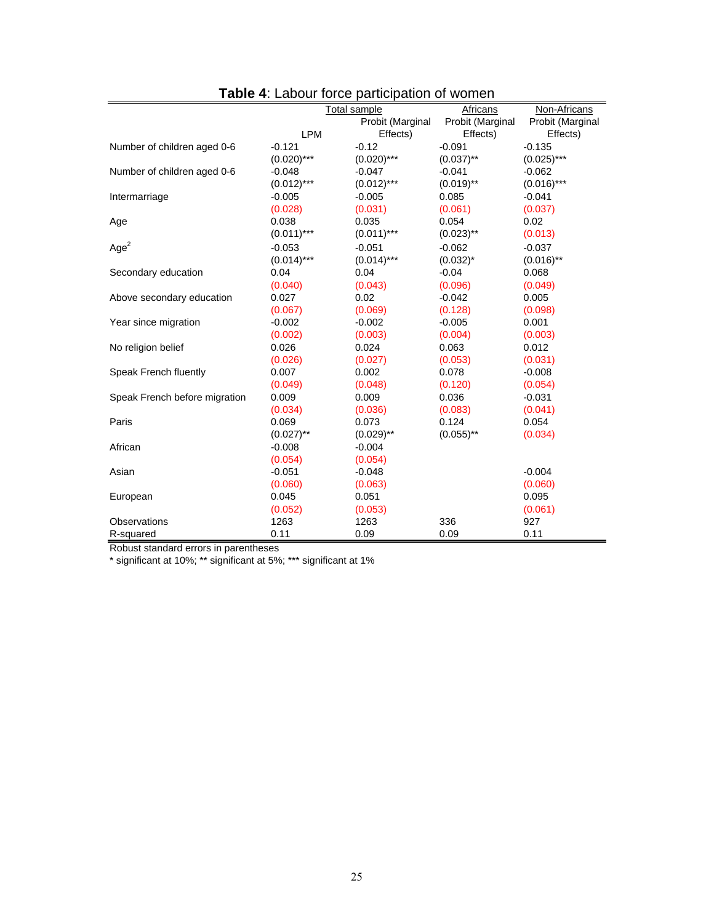| <b>HODIS</b> 4. EQUOUT TUTUS PORTUPORTUIT UP WONTERT |               |                     |                  |                  |  |  |  |  |  |  |
|------------------------------------------------------|---------------|---------------------|------------------|------------------|--|--|--|--|--|--|
|                                                      |               | <b>Total sample</b> | Africans         | Non-Africans     |  |  |  |  |  |  |
|                                                      |               | Probit (Marginal    | Probit (Marginal | Probit (Marginal |  |  |  |  |  |  |
|                                                      | <b>LPM</b>    | Effects)            | Effects)         | Effects)         |  |  |  |  |  |  |
| Number of children aged 0-6                          | $-0.121$      | $-0.12$             | $-0.091$         | $-0.135$         |  |  |  |  |  |  |
|                                                      | $(0.020)$ *** | $(0.020)$ ***       | $(0.037)$ **     | $(0.025)***$     |  |  |  |  |  |  |
| Number of children aged 0-6                          | $-0.048$      | $-0.047$            | $-0.041$         | $-0.062$         |  |  |  |  |  |  |
|                                                      | $(0.012)***$  | $(0.012)***$        | $(0.019)$ **     | $(0.016)$ ***    |  |  |  |  |  |  |
| Intermarriage                                        | $-0.005$      | $-0.005$            | 0.085            | $-0.041$         |  |  |  |  |  |  |
|                                                      | (0.028)       | (0.031)             | (0.061)          | (0.037)          |  |  |  |  |  |  |
| Age                                                  | 0.038         | 0.035               | 0.054            | 0.02             |  |  |  |  |  |  |
|                                                      | $(0.011)***$  | $(0.011)$ ***       | $(0.023)$ **     | (0.013)          |  |  |  |  |  |  |
| Age <sup>2</sup>                                     | $-0.053$      | $-0.051$            | $-0.062$         | $-0.037$         |  |  |  |  |  |  |
|                                                      | $(0.014)***$  | $(0.014)***$        | $(0.032)^{*}$    | $(0.016)$ **     |  |  |  |  |  |  |
| Secondary education                                  | 0.04          | 0.04                | $-0.04$          | 0.068            |  |  |  |  |  |  |
|                                                      | (0.040)       | (0.043)             | (0.096)          | (0.049)          |  |  |  |  |  |  |
| Above secondary education                            | 0.027         | 0.02                | $-0.042$         | 0.005            |  |  |  |  |  |  |
|                                                      | (0.067)       | (0.069)             | (0.128)          | (0.098)          |  |  |  |  |  |  |
| Year since migration                                 | $-0.002$      | $-0.002$            | $-0.005$         | 0.001            |  |  |  |  |  |  |
|                                                      | (0.002)       | (0.003)             | (0.004)          | (0.003)          |  |  |  |  |  |  |
| No religion belief                                   | 0.026         | 0.024               | 0.063            | 0.012            |  |  |  |  |  |  |
|                                                      | (0.026)       | (0.027)             | (0.053)          | (0.031)          |  |  |  |  |  |  |
| Speak French fluently                                | 0.007         | 0.002               | 0.078            | $-0.008$         |  |  |  |  |  |  |
|                                                      | (0.049)       | (0.048)             | (0.120)          | (0.054)          |  |  |  |  |  |  |
| Speak French before migration                        | 0.009         | 0.009               | 0.036            | $-0.031$         |  |  |  |  |  |  |
|                                                      | (0.034)       | (0.036)             | (0.083)          | (0.041)          |  |  |  |  |  |  |
| Paris                                                | 0.069         | 0.073               | 0.124            | 0.054            |  |  |  |  |  |  |
|                                                      | $(0.027)$ **  | $(0.029)$ **        | $(0.055)$ **     | (0.034)          |  |  |  |  |  |  |
| African                                              | $-0.008$      | $-0.004$            |                  |                  |  |  |  |  |  |  |
|                                                      | (0.054)       | (0.054)             |                  |                  |  |  |  |  |  |  |
| Asian                                                | $-0.051$      | $-0.048$            |                  | $-0.004$         |  |  |  |  |  |  |
|                                                      | (0.060)       | (0.063)             |                  | (0.060)          |  |  |  |  |  |  |
| European                                             | 0.045         | 0.051               |                  | 0.095            |  |  |  |  |  |  |
|                                                      | (0.052)       | (0.053)             |                  | (0.061)          |  |  |  |  |  |  |
| Observations                                         | 1263          | 1263                | 336              | 927              |  |  |  |  |  |  |
| R-squared                                            | 0.11          | 0.09                | 0.09             | 0.11             |  |  |  |  |  |  |

| Table 4: Labour force participation of women |  |
|----------------------------------------------|--|
|                                              |  |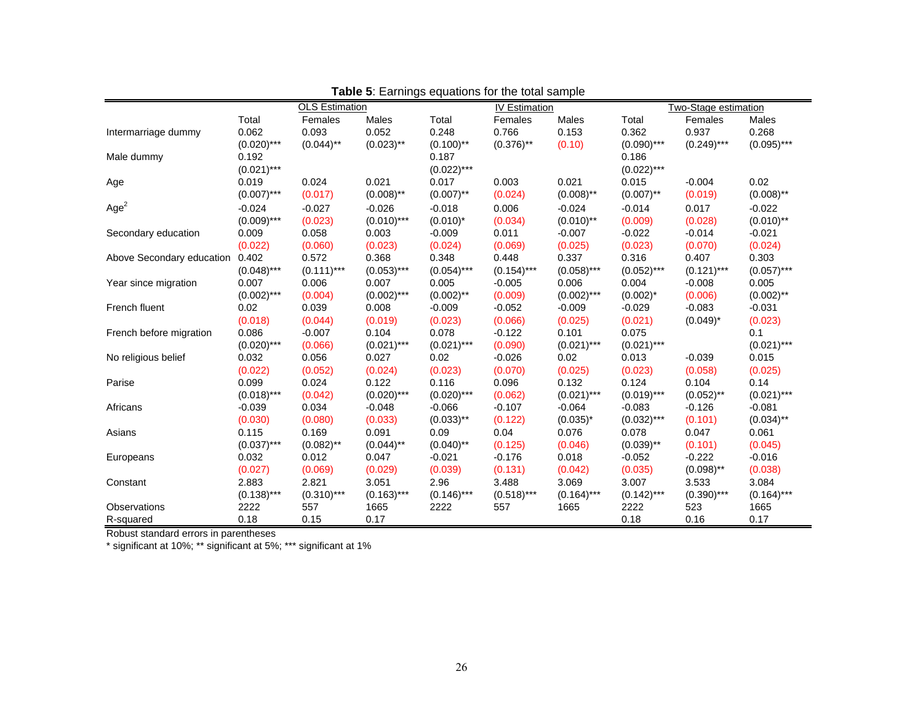|                           |               | <b>OLS Estimation</b> | ∽……ສ∽         | <b>IV Estimation</b> |               |               | Two-Stage estimation |               |               |
|---------------------------|---------------|-----------------------|---------------|----------------------|---------------|---------------|----------------------|---------------|---------------|
|                           | Total         | Females               | Males         | Total                | Females       | Males         | Total                | Females       | Males         |
| Intermarriage dummy       | 0.062         | 0.093                 | 0.052         | 0.248                | 0.766         | 0.153         | 0.362                | 0.937         | 0.268         |
|                           | $(0.020)$ *** | $(0.044)$ **          | $(0.023)$ **  | $(0.100)$ **         | $(0.376)$ **  | (0.10)        | $(0.090)$ ***        | $(0.249)$ *** | $(0.095)$ *** |
| Male dummy                | 0.192         |                       |               | 0.187                |               |               | 0.186                |               |               |
|                           | $(0.021)$ *** |                       |               | $(0.022)$ ***        |               |               | $(0.022)$ ***        |               |               |
| Age                       | 0.019         | 0.024                 | 0.021         | 0.017                | 0.003         | 0.021         | 0.015                | $-0.004$      | 0.02          |
|                           | $(0.007)$ *** | (0.017)               | $(0.008)$ **  | $(0.007)$ **         | (0.024)       | $(0.008)$ **  | $(0.007)$ **         | (0.019)       | $(0.008)$ **  |
| Age <sup>2</sup>          | $-0.024$      | $-0.027$              | $-0.026$      | $-0.018$             | 0.006         | $-0.024$      | $-0.014$             | 0.017         | $-0.022$      |
|                           | $(0.009)$ *** | (0.023)               | $(0.010)$ *** | $(0.010)^*$          | (0.034)       | $(0.010)$ **  | (0.009)              | (0.028)       | $(0.010)$ **  |
| Secondary education       | 0.009         | 0.058                 | 0.003         | $-0.009$             | 0.011         | $-0.007$      | $-0.022$             | $-0.014$      | $-0.021$      |
|                           | (0.022)       | (0.060)               | (0.023)       | (0.024)              | (0.069)       | (0.025)       | (0.023)              | (0.070)       | (0.024)       |
| Above Secondary education | 0.402         | 0.572                 | 0.368         | 0.348                | 0.448         | 0.337         | 0.316                | 0.407         | 0.303         |
|                           | $(0.048)$ *** | $(0.111)***$          | $(0.053)***$  | $(0.054)$ ***        | $(0.154)$ *** | $(0.058)$ *** | $(0.052)$ ***        | $(0.121)$ *** | $(0.057)$ *** |
| Year since migration      | 0.007         | 0.006                 | 0.007         | 0.005                | $-0.005$      | 0.006         | 0.004                | $-0.008$      | 0.005         |
|                           | $(0.002)$ *** | (0.004)               | $(0.002)$ *** | $(0.002)$ **         | (0.009)       | $(0.002)$ *** | $(0.002)^*$          | (0.006)       | $(0.002)$ **  |
| French fluent             | 0.02          | 0.039                 | 0.008         | $-0.009$             | $-0.052$      | $-0.009$      | $-0.029$             | $-0.083$      | $-0.031$      |
|                           | (0.018)       | (0.044)               | (0.019)       | (0.023)              | (0.066)       | (0.025)       | (0.021)              | $(0.049)^*$   | (0.023)       |
| French before migration   | 0.086         | $-0.007$              | 0.104         | 0.078                | $-0.122$      | 0.101         | 0.075                |               | 0.1           |
|                           | $(0.020)$ *** | (0.066)               | $(0.021)$ *** | $(0.021)$ ***        | (0.090)       | $(0.021)$ *** | $(0.021)$ ***        |               | $(0.021)$ *** |
| No religious belief       | 0.032         | 0.056                 | 0.027         | 0.02                 | $-0.026$      | 0.02          | 0.013                | $-0.039$      | 0.015         |
|                           | (0.022)       | (0.052)               | (0.024)       | (0.023)              | (0.070)       | (0.025)       | (0.023)              | (0.058)       | (0.025)       |
| Parise                    | 0.099         | 0.024                 | 0.122         | 0.116                | 0.096         | 0.132         | 0.124                | 0.104         | 0.14          |
|                           | $(0.018)$ *** | (0.042)               | $(0.020)$ *** | $(0.020)$ ***        | (0.062)       | $(0.021)$ *** | $(0.019)***$         | $(0.052)$ **  | $(0.021)$ *** |
| Africans                  | $-0.039$      | 0.034                 | $-0.048$      | $-0.066$             | $-0.107$      | $-0.064$      | $-0.083$             | $-0.126$      | $-0.081$      |
|                           | (0.030)       | (0.080)               | (0.033)       | $(0.033)$ **         | (0.122)       | $(0.035)^*$   | $(0.032)$ ***        | (0.101)       | $(0.034)$ **  |
| Asians                    | 0.115         | 0.169                 | 0.091         | 0.09                 | 0.04          | 0.076         | 0.078                | 0.047         | 0.061         |
|                           | $(0.037)$ *** | $(0.082)$ **          | $(0.044)$ **  | $(0.040)$ **         | (0.125)       | (0.046)       | $(0.039)$ **         | (0.101)       | (0.045)       |
| Europeans                 | 0.032         | 0.012                 | 0.047         | $-0.021$             | $-0.176$      | 0.018         | $-0.052$             | $-0.222$      | $-0.016$      |
|                           | (0.027)       | (0.069)               | (0.029)       | (0.039)              | (0.131)       | (0.042)       | (0.035)              | $(0.098)$ **  | (0.038)       |
| Constant                  | 2.883         | 2.821                 | 3.051         | 2.96                 | 3.488         | 3.069         | 3.007                | 3.533         | 3.084         |
|                           | $(0.138)***$  | $(0.310)***$          | $(0.163)***$  | $(0.146)$ ***        | $(0.518)***$  | $(0.164)$ *** | $(0.142)$ ***        | $(0.390)$ *** | $(0.164)$ *** |
| Observations              | 2222          | 557                   | 1665          | 2222                 | 557           | 1665          | 2222                 | 523           | 1665          |
| R-squared                 | 0.18          | 0.15                  | 0.17          |                      |               |               | 0.18                 | 0.16          | 0.17          |

|  | <b>Table 5:</b> Earnings equations for the total sample |  |  |
|--|---------------------------------------------------------|--|--|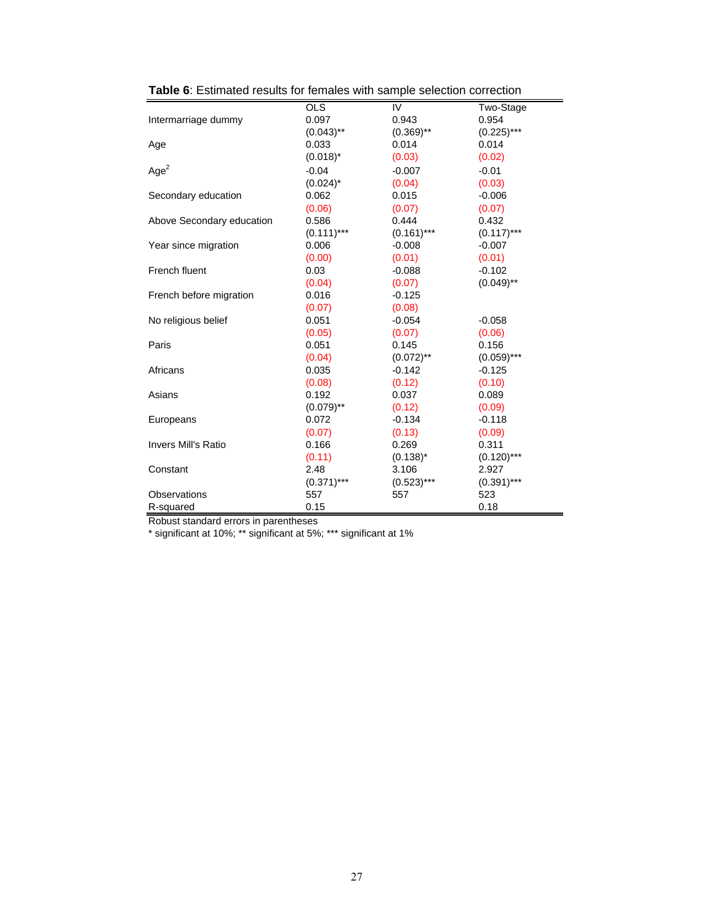|                            | OLS           | IV            | Two-Stage     |
|----------------------------|---------------|---------------|---------------|
| Intermarriage dummy        | 0.097         | 0.943         | 0.954         |
|                            | $(0.043)$ **  | $(0.369)$ **  | $(0.225)***$  |
| Age                        | 0.033         | 0.014         | 0.014         |
|                            | $(0.018)^*$   | (0.03)        | (0.02)        |
| Age <sup>2</sup>           | $-0.04$       | $-0.007$      | $-0.01$       |
|                            | $(0.024)^*$   | (0.04)        | (0.03)        |
| Secondary education        | 0.062         | 0.015         | $-0.006$      |
|                            | (0.06)        | (0.07)        | (0.07)        |
| Above Secondary education  | 0.586         | 0.444         | 0.432         |
|                            | $(0.111)***$  | $(0.161)$ *** | $(0.117)$ *** |
| Year since migration       | 0.006         | $-0.008$      | $-0.007$      |
|                            | (0.00)        | (0.01)        | (0.01)        |
| French fluent              | 0.03          | $-0.088$      | $-0.102$      |
|                            | (0.04)        | (0.07)        | $(0.049)$ **  |
| French before migration    | 0.016         | $-0.125$      |               |
|                            | (0.07)        | (0.08)        |               |
| No religious belief        | 0.051         | $-0.054$      | $-0.058$      |
|                            | (0.05)        | (0.07)        | (0.06)        |
| Paris                      | 0.051         | 0.145         | 0.156         |
|                            | (0.04)        | $(0.072)$ **  | $(0.059)$ *** |
| Africans                   | 0.035         | $-0.142$      | $-0.125$      |
|                            | (0.08)        | (0.12)        | (0.10)        |
| Asians                     | 0.192         | 0.037         | 0.089         |
|                            | $(0.079)$ **  | (0.12)        | (0.09)        |
| Europeans                  | 0.072         | $-0.134$      | $-0.118$      |
|                            | (0.07)        | (0.13)        | (0.09)        |
| <b>Invers Mill's Ratio</b> | 0.166         | 0.269         | 0.311         |
|                            | (0.11)        | $(0.138)^*$   | $(0.120)$ *** |
| Constant                   | 2.48          | 3.106         | 2.927         |
|                            | $(0.371)$ *** | $(0.523)***$  | $(0.391)$ *** |
| Observations               | 557           | 557           | 523           |
| R-squared                  | 0.15          |               | 0.18          |
|                            |               |               |               |

**Table 6**: Estimated results for females with sample selection correction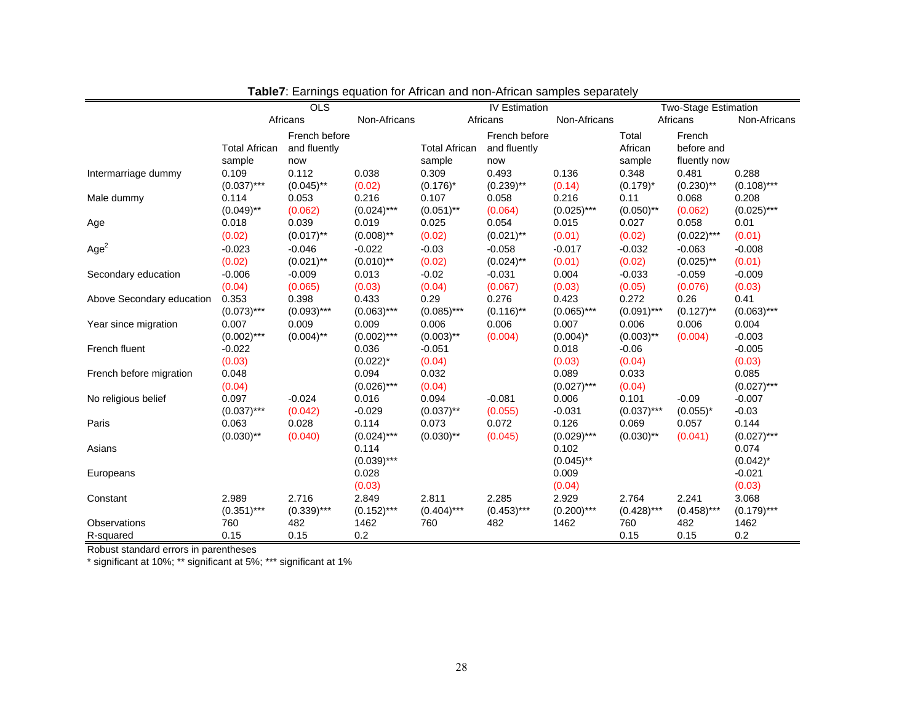|                           | OLS                  |               |                        | <b>IV Estimation</b> |               |                        | <b>Two-Stage Estimation</b> |               |                        |
|---------------------------|----------------------|---------------|------------------------|----------------------|---------------|------------------------|-----------------------------|---------------|------------------------|
|                           |                      | Africans      | Non-Africans           |                      | Africans      | Non-Africans           |                             | Africans      | Non-Africans           |
|                           |                      | French before |                        |                      | French before |                        | Total                       | French        |                        |
|                           | <b>Total African</b> | and fluently  |                        | <b>Total African</b> | and fluently  |                        | African                     | before and    |                        |
|                           | sample               | now           |                        | sample               | now           |                        | sample                      | fluently now  |                        |
| Intermarriage dummy       | 0.109                | 0.112         | 0.038                  | 0.309                | 0.493         | 0.136                  | 0.348                       | 0.481         | 0.288                  |
|                           | $(0.037)$ ***        | $(0.045)$ **  | (0.02)                 | $(0.176)^*$          | $(0.239)$ **  | (0.14)                 | $(0.179)^*$                 | $(0.230)$ **  | $(0.108)$ ***          |
| Male dummy                | 0.114                | 0.053         | 0.216                  | 0.107                | 0.058         | 0.216                  | 0.11                        | 0.068         | 0.208                  |
|                           | $(0.049)$ **         | (0.062)       | $(0.024)$ ***          | $(0.051)$ **         | (0.064)       | $(0.025)$ ***          | $(0.050)$ **                | (0.062)       | $(0.025)$ ***          |
| Age                       | 0.018                | 0.039         | 0.019                  | 0.025                | 0.054         | 0.015                  | 0.027                       | 0.058         | 0.01                   |
|                           | (0.02)               | $(0.017)$ **  | $(0.008)$ **           | (0.02)               | $(0.021)$ **  | (0.01)                 | (0.02)                      | $(0.022)***$  | (0.01)                 |
| Age <sup>2</sup>          | $-0.023$             | $-0.046$      | $-0.022$               | $-0.03$              | $-0.058$      | $-0.017$               | $-0.032$                    | $-0.063$      | $-0.008$               |
|                           | (0.02)               | $(0.021)$ **  | $(0.010)$ **           | (0.02)               | $(0.024)$ **  | (0.01)                 | (0.02)                      | $(0.025)$ **  | (0.01)                 |
| Secondary education       | $-0.006$             | $-0.009$      | 0.013                  | $-0.02$              | $-0.031$      | 0.004                  | $-0.033$                    | $-0.059$      | $-0.009$               |
|                           | (0.04)               | (0.065)       | (0.03)                 | (0.04)               | (0.067)       | (0.03)                 | (0.05)                      | (0.076)       | (0.03)                 |
| Above Secondary education | 0.353                | 0.398         | 0.433                  | 0.29                 | 0.276         | 0.423                  | 0.272                       | 0.26          | 0.41                   |
|                           | $(0.073)***$         | $(0.093)$ *** | $(0.063)***$           | $(0.085)$ ***        | $(0.116)$ **  | $(0.065)$ ***          | $(0.091)$ ***               | $(0.127)$ **  | $(0.063)$ ***          |
| Year since migration      | 0.007                | 0.009         | 0.009                  | 0.006                | 0.006         | 0.007                  | 0.006                       | 0.006         | 0.004                  |
|                           | $(0.002)$ ***        | $(0.004)$ **  | $(0.002)$ ***          | $(0.003)$ **         | (0.004)       | $(0.004)^*$            | $(0.003)$ **                | (0.004)       | $-0.003$               |
| French fluent             | $-0.022$             |               | 0.036                  | $-0.051$             |               | 0.018                  | $-0.06$                     |               | $-0.005$               |
|                           | (0.03)               |               | $(0.022)^{*}$          | (0.04)               |               | (0.03)                 | (0.04)                      |               | (0.03)                 |
| French before migration   | 0.048                |               | 0.094                  | 0.032                |               | 0.089                  | 0.033                       |               | 0.085                  |
|                           | (0.04)               |               | $(0.026)$ ***          | (0.04)               |               | $(0.027)$ ***          | (0.04)                      |               | $(0.027)$ ***          |
| No religious belief       | 0.097                | $-0.024$      | 0.016                  | 0.094                | $-0.081$      | 0.006                  | 0.101                       | $-0.09$       | $-0.007$               |
|                           | $(0.037)$ ***        | (0.042)       | $-0.029$               | $(0.037)$ **         | (0.055)       | $-0.031$               | $(0.037)$ ***               | $(0.055)^*$   | $-0.03$                |
| Paris                     | 0.063                | 0.028         | 0.114                  | 0.073                | 0.072         | 0.126                  | 0.069                       | 0.057         | 0.144                  |
|                           | $(0.030)$ **         | (0.040)       | $(0.024)$ ***<br>0.114 | $(0.030)$ **         | (0.045)       | $(0.029)$ ***<br>0.102 | $(0.030)$ **                | (0.041)       | $(0.027)$ ***<br>0.074 |
| Asians                    |                      |               | $(0.039)$ ***          |                      |               | $(0.045)$ **           |                             |               | $(0.042)^*$            |
| Europeans                 |                      |               | 0.028                  |                      |               | 0.009                  |                             |               | $-0.021$               |
|                           |                      |               | (0.03)                 |                      |               | (0.04)                 |                             |               | (0.03)                 |
| Constant                  | 2.989                | 2.716         | 2.849                  | 2.811                | 2.285         | 2.929                  | 2.764                       | 2.241         | 3.068                  |
|                           | $(0.351)$ ***        | $(0.339)***$  | $(0.152)***$           | $(0.404)$ ***        | $(0.453)***$  | $(0.200)$ ***          | $(0.428)$ ***               | $(0.458)$ *** | $(0.179)***$           |
| Observations              | 760                  | 482           | 1462                   | 760                  | 482           | 1462                   | 760                         | 482           | 1462                   |
| R-squared                 | 0.15                 | 0.15          | 0.2                    |                      |               |                        | 0.15                        | 0.15          | 0.2                    |
|                           |                      |               |                        |                      |               |                        |                             |               |                        |

**Table7**: Earnings equation for African and non-African samples separately